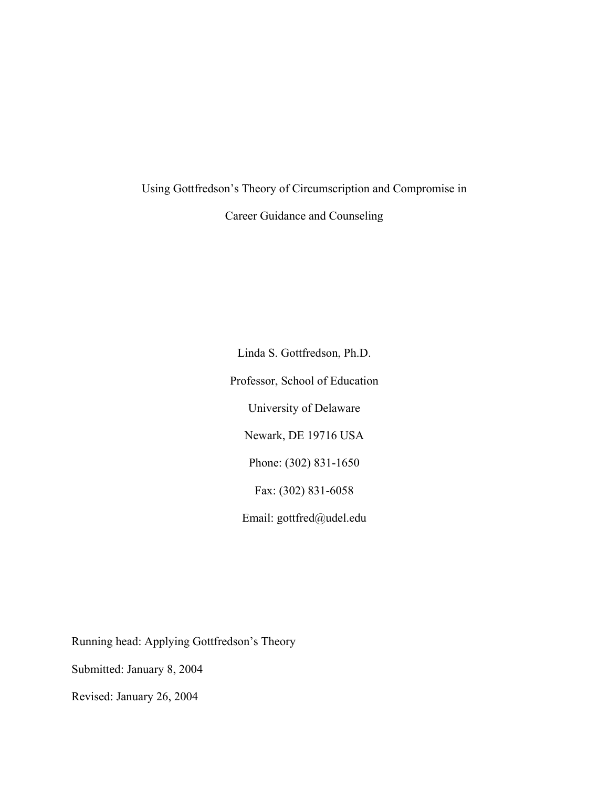Using Gottfredson's Theory of Circumscription and Compromise in

Career Guidance and Counseling

Linda S. Gottfredson, Ph.D. Professor, School of Education University of Delaware Newark, DE 19716 USA Phone: (302) 831-1650 Fax: (302) 831-6058 Email: gottfred@udel.edu

Running head: Applying Gottfredson's Theory

Submitted: January 8, 2004

Revised: January 26, 2004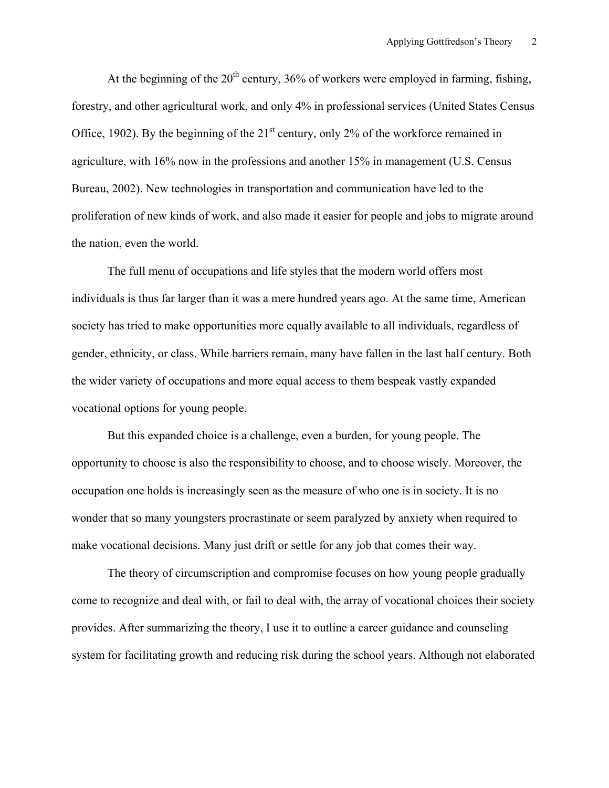At the beginning of the  $20<sup>th</sup>$  century, 36% of workers were employed in farming, fishing, forestry, and other agricultural work, and only 4% in professional services (United States Census Office, 1902). By the beginning of the  $21<sup>st</sup>$  century, only 2% of the workforce remained in agriculture, with 16% now in the professions and another 15% in management (U.S. Census Bureau, 2002). New technologies in transportation and communication have led to the proliferation of new kinds of work, and also made it easier for people and jobs to migrate around the nation, even the world.

The full menu of occupations and life styles that the modern world offers most individuals is thus far larger than it was a mere hundred years ago. At the same time, American society has tried to make opportunities more equally available to all individuals, regardless of gender, ethnicity, or class. While barriers remain, many have fallen in the last half century. Both the wider variety of occupations and more equal access to them bespeak vastly expanded vocational options for young people.

But this expanded choice is a challenge, even a burden, for young people. The opportunity to choose is also the responsibility to choose, and to choose wisely. Moreover, the occupation one holds is increasingly seen as the measure of who one is in society. It is no wonder that so many youngsters procrastinate or seem paralyzed by anxiety when required to make vocational decisions. Many just drift or settle for any job that comes their way.

The theory of circumscription and compromise focuses on how young people gradually come to recognize and deal with, or fail to deal with, the array of vocational choices their society provides. After summarizing the theory, I use it to outline a career guidance and counseling system for facilitating growth and reducing risk during the school years. Although not elaborated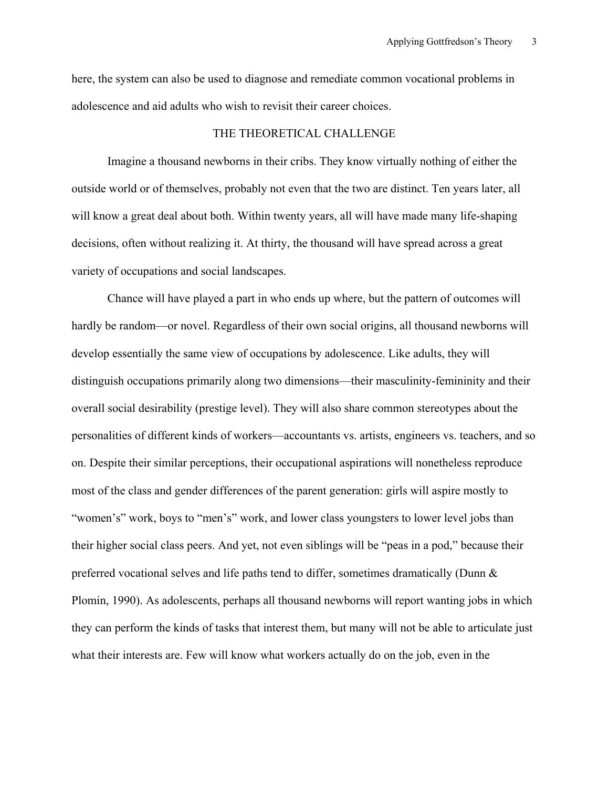here, the system can also be used to diagnose and remediate common vocational problems in adolescence and aid adults who wish to revisit their career choices.

#### THE THEORETICAL CHALLENGE

Imagine a thousand newborns in their cribs. They know virtually nothing of either the outside world or of themselves, probably not even that the two are distinct. Ten years later, all will know a great deal about both. Within twenty years, all will have made many life-shaping decisions, often without realizing it. At thirty, the thousand will have spread across a great variety of occupations and social landscapes.

Chance will have played a part in who ends up where, but the pattern of outcomes will hardly be random—or novel. Regardless of their own social origins, all thousand newborns will develop essentially the same view of occupations by adolescence. Like adults, they will distinguish occupations primarily along two dimensions—their masculinity-femininity and their overall social desirability (prestige level). They will also share common stereotypes about the personalities of different kinds of workers—accountants vs. artists, engineers vs. teachers, and so on. Despite their similar perceptions, their occupational aspirations will nonetheless reproduce most of the class and gender differences of the parent generation: girls will aspire mostly to "women's" work, boys to "men's" work, and lower class youngsters to lower level jobs than their higher social class peers. And yet, not even siblings will be "peas in a pod," because their preferred vocational selves and life paths tend to differ, sometimes dramatically (Dunn & Plomin, 1990). As adolescents, perhaps all thousand newborns will report wanting jobs in which they can perform the kinds of tasks that interest them, but many will not be able to articulate just what their interests are. Few will know what workers actually do on the job, even in the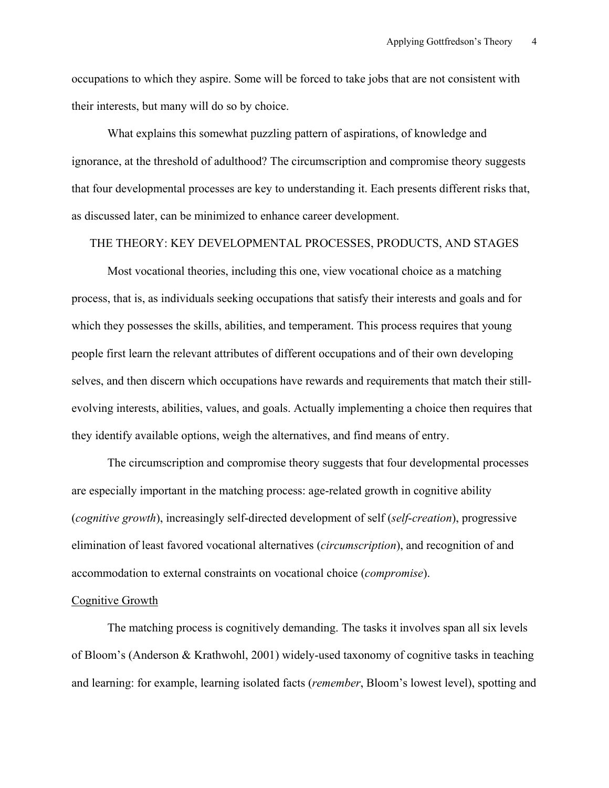occupations to which they aspire. Some will be forced to take jobs that are not consistent with their interests, but many will do so by choice.

What explains this somewhat puzzling pattern of aspirations, of knowledge and ignorance, at the threshold of adulthood? The circumscription and compromise theory suggests that four developmental processes are key to understanding it. Each presents different risks that, as discussed later, can be minimized to enhance career development.

#### THE THEORY: KEY DEVELOPMENTAL PROCESSES, PRODUCTS, AND STAGES

Most vocational theories, including this one, view vocational choice as a matching process, that is, as individuals seeking occupations that satisfy their interests and goals and for which they possesses the skills, abilities, and temperament. This process requires that young people first learn the relevant attributes of different occupations and of their own developing selves, and then discern which occupations have rewards and requirements that match their stillevolving interests, abilities, values, and goals. Actually implementing a choice then requires that they identify available options, weigh the alternatives, and find means of entry.

The circumscription and compromise theory suggests that four developmental processes are especially important in the matching process: age-related growth in cognitive ability (*cognitive growth*), increasingly self-directed development of self (*self*-*creation*), progressive elimination of least favored vocational alternatives (*circumscription*), and recognition of and accommodation to external constraints on vocational choice (*compromise*).

#### Cognitive Growth

The matching process is cognitively demanding. The tasks it involves span all six levels of Bloom's (Anderson & Krathwohl, 2001) widely-used taxonomy of cognitive tasks in teaching and learning: for example, learning isolated facts (*remember*, Bloom's lowest level), spotting and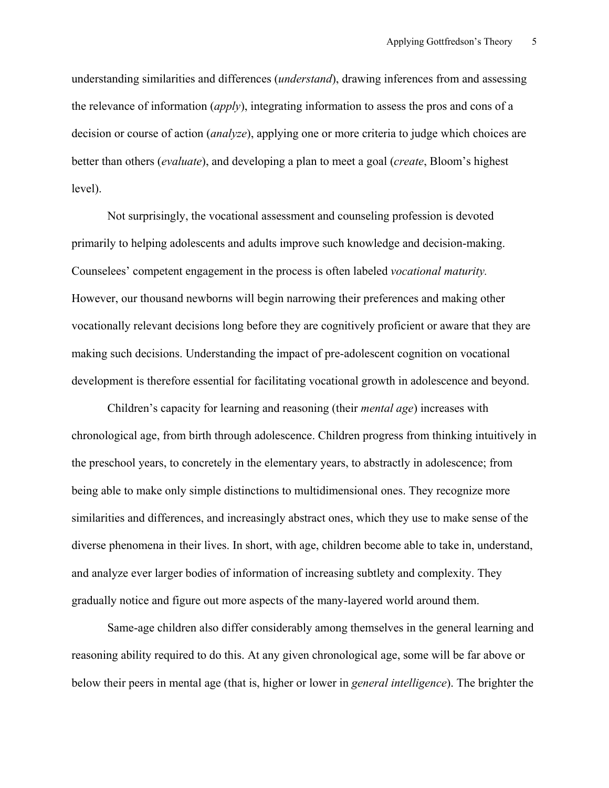understanding similarities and differences (*understand*), drawing inferences from and assessing the relevance of information (*apply*), integrating information to assess the pros and cons of a decision or course of action (*analyze*), applying one or more criteria to judge which choices are better than others (*evaluate*), and developing a plan to meet a goal (*create*, Bloom's highest level).

Not surprisingly, the vocational assessment and counseling profession is devoted primarily to helping adolescents and adults improve such knowledge and decision-making. Counselees' competent engagement in the process is often labeled *vocational maturity.* However, our thousand newborns will begin narrowing their preferences and making other vocationally relevant decisions long before they are cognitively proficient or aware that they are making such decisions. Understanding the impact of pre-adolescent cognition on vocational development is therefore essential for facilitating vocational growth in adolescence and beyond.

 Children's capacity for learning and reasoning (their *mental age*) increases with chronological age, from birth through adolescence. Children progress from thinking intuitively in the preschool years, to concretely in the elementary years, to abstractly in adolescence; from being able to make only simple distinctions to multidimensional ones. They recognize more similarities and differences, and increasingly abstract ones, which they use to make sense of the diverse phenomena in their lives. In short, with age, children become able to take in, understand, and analyze ever larger bodies of information of increasing subtlety and complexity. They gradually notice and figure out more aspects of the many-layered world around them.

Same-age children also differ considerably among themselves in the general learning and reasoning ability required to do this. At any given chronological age, some will be far above or below their peers in mental age (that is, higher or lower in *general intelligence*). The brighter the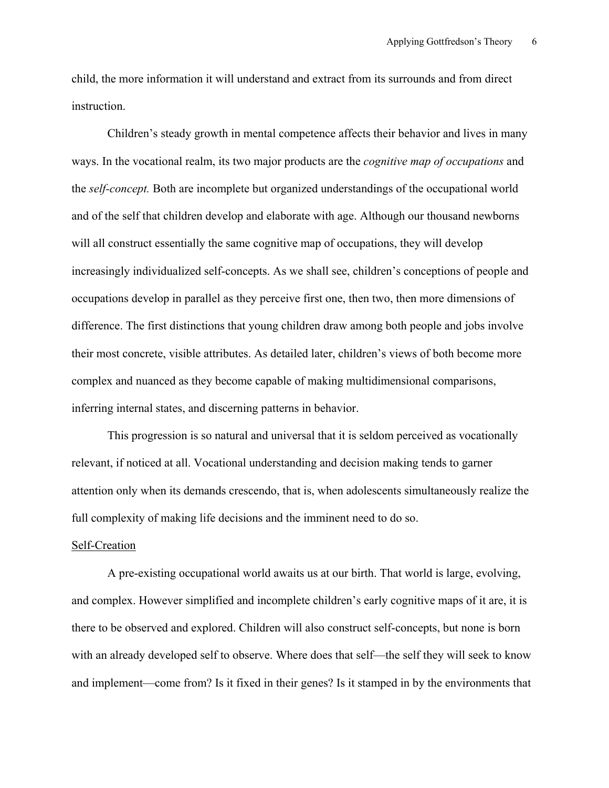child, the more information it will understand and extract from its surrounds and from direct instruction.

Children's steady growth in mental competence affects their behavior and lives in many ways. In the vocational realm, its two major products are the *cognitive map of occupations* and the *self-concept.* Both are incomplete but organized understandings of the occupational world and of the self that children develop and elaborate with age. Although our thousand newborns will all construct essentially the same cognitive map of occupations, they will develop increasingly individualized self-concepts. As we shall see, children's conceptions of people and occupations develop in parallel as they perceive first one, then two, then more dimensions of difference. The first distinctions that young children draw among both people and jobs involve their most concrete, visible attributes. As detailed later, children's views of both become more complex and nuanced as they become capable of making multidimensional comparisons, inferring internal states, and discerning patterns in behavior.

This progression is so natural and universal that it is seldom perceived as vocationally relevant, if noticed at all. Vocational understanding and decision making tends to garner attention only when its demands crescendo, that is, when adolescents simultaneously realize the full complexity of making life decisions and the imminent need to do so.

#### Self-Creation

A pre-existing occupational world awaits us at our birth. That world is large, evolving, and complex. However simplified and incomplete children's early cognitive maps of it are, it is there to be observed and explored. Children will also construct self-concepts, but none is born with an already developed self to observe. Where does that self—the self they will seek to know and implement—come from? Is it fixed in their genes? Is it stamped in by the environments that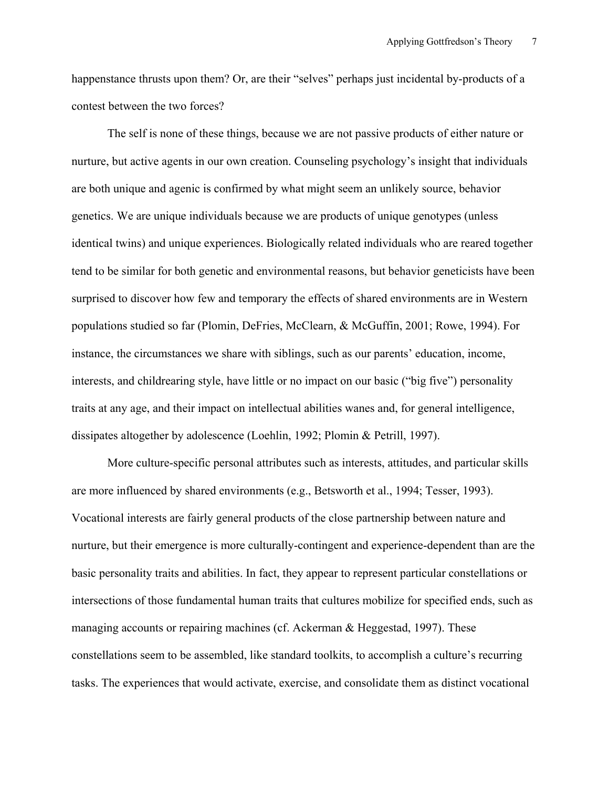happenstance thrusts upon them? Or, are their "selves" perhaps just incidental by-products of a contest between the two forces?

The self is none of these things, because we are not passive products of either nature or nurture, but active agents in our own creation. Counseling psychology's insight that individuals are both unique and agenic is confirmed by what might seem an unlikely source, behavior genetics. We are unique individuals because we are products of unique genotypes (unless identical twins) and unique experiences. Biologically related individuals who are reared together tend to be similar for both genetic and environmental reasons, but behavior geneticists have been surprised to discover how few and temporary the effects of shared environments are in Western populations studied so far (Plomin, DeFries, McClearn, & McGuffin, 2001; Rowe, 1994). For instance, the circumstances we share with siblings, such as our parents' education, income, interests, and childrearing style, have little or no impact on our basic ("big five") personality traits at any age, and their impact on intellectual abilities wanes and, for general intelligence, dissipates altogether by adolescence (Loehlin, 1992; Plomin & Petrill, 1997).

More culture-specific personal attributes such as interests, attitudes, and particular skills are more influenced by shared environments (e.g., Betsworth et al., 1994; Tesser, 1993). Vocational interests are fairly general products of the close partnership between nature and nurture, but their emergence is more culturally-contingent and experience-dependent than are the basic personality traits and abilities. In fact, they appear to represent particular constellations or intersections of those fundamental human traits that cultures mobilize for specified ends, such as managing accounts or repairing machines (cf. Ackerman & Heggestad, 1997). These constellations seem to be assembled, like standard toolkits, to accomplish a culture's recurring tasks. The experiences that would activate, exercise, and consolidate them as distinct vocational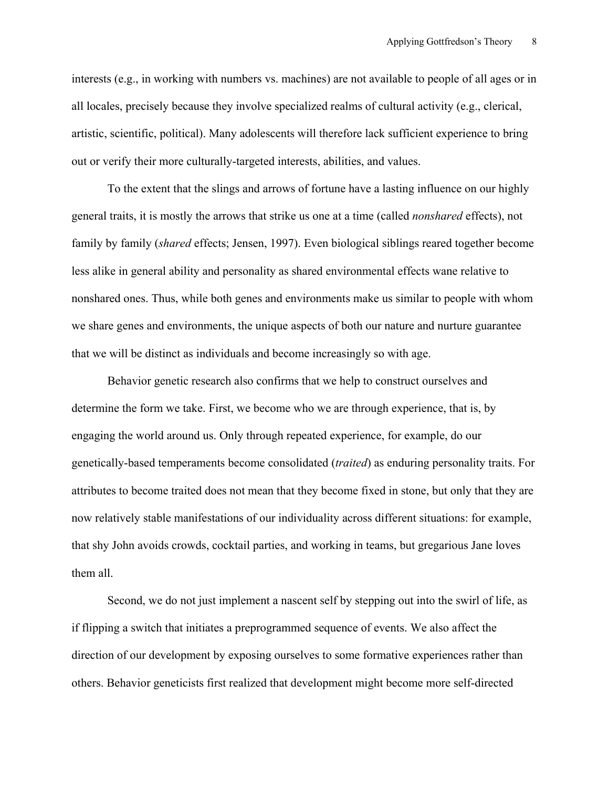interests (e.g., in working with numbers vs. machines) are not available to people of all ages or in all locales, precisely because they involve specialized realms of cultural activity (e.g., clerical, artistic, scientific, political). Many adolescents will therefore lack sufficient experience to bring out or verify their more culturally-targeted interests, abilities, and values.

To the extent that the slings and arrows of fortune have a lasting influence on our highly general traits, it is mostly the arrows that strike us one at a time (called *nonshared* effects), not family by family (*shared* effects; Jensen, 1997). Even biological siblings reared together become less alike in general ability and personality as shared environmental effects wane relative to nonshared ones. Thus, while both genes and environments make us similar to people with whom we share genes and environments, the unique aspects of both our nature and nurture guarantee that we will be distinct as individuals and become increasingly so with age.

Behavior genetic research also confirms that we help to construct ourselves and determine the form we take. First, we become who we are through experience, that is, by engaging the world around us. Only through repeated experience, for example, do our genetically-based temperaments become consolidated (*traited*) as enduring personality traits. For attributes to become traited does not mean that they become fixed in stone, but only that they are now relatively stable manifestations of our individuality across different situations: for example, that shy John avoids crowds, cocktail parties, and working in teams, but gregarious Jane loves them all.

Second, we do not just implement a nascent self by stepping out into the swirl of life, as if flipping a switch that initiates a preprogrammed sequence of events. We also affect the direction of our development by exposing ourselves to some formative experiences rather than others. Behavior geneticists first realized that development might become more self-directed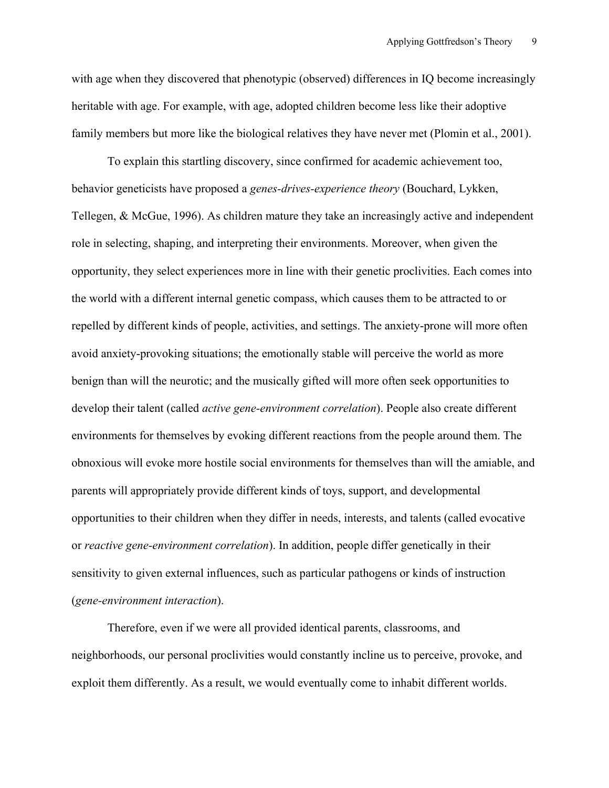with age when they discovered that phenotypic (observed) differences in IQ become increasingly heritable with age. For example, with age, adopted children become less like their adoptive family members but more like the biological relatives they have never met (Plomin et al., 2001).

To explain this startling discovery, since confirmed for academic achievement too, behavior geneticists have proposed a *genes-drives-experience theory* (Bouchard, Lykken, Tellegen, & McGue, 1996). As children mature they take an increasingly active and independent role in selecting, shaping, and interpreting their environments. Moreover, when given the opportunity, they select experiences more in line with their genetic proclivities. Each comes into the world with a different internal genetic compass, which causes them to be attracted to or repelled by different kinds of people, activities, and settings. The anxiety-prone will more often avoid anxiety-provoking situations; the emotionally stable will perceive the world as more benign than will the neurotic; and the musically gifted will more often seek opportunities to develop their talent (called *active gene-environment correlation*). People also create different environments for themselves by evoking different reactions from the people around them. The obnoxious will evoke more hostile social environments for themselves than will the amiable, and parents will appropriately provide different kinds of toys, support, and developmental opportunities to their children when they differ in needs, interests, and talents (called evocative or *reactive gene-environment correlation*). In addition, people differ genetically in their sensitivity to given external influences, such as particular pathogens or kinds of instruction (*gene-environment interaction*).

Therefore, even if we were all provided identical parents, classrooms, and neighborhoods, our personal proclivities would constantly incline us to perceive, provoke, and exploit them differently. As a result, we would eventually come to inhabit different worlds.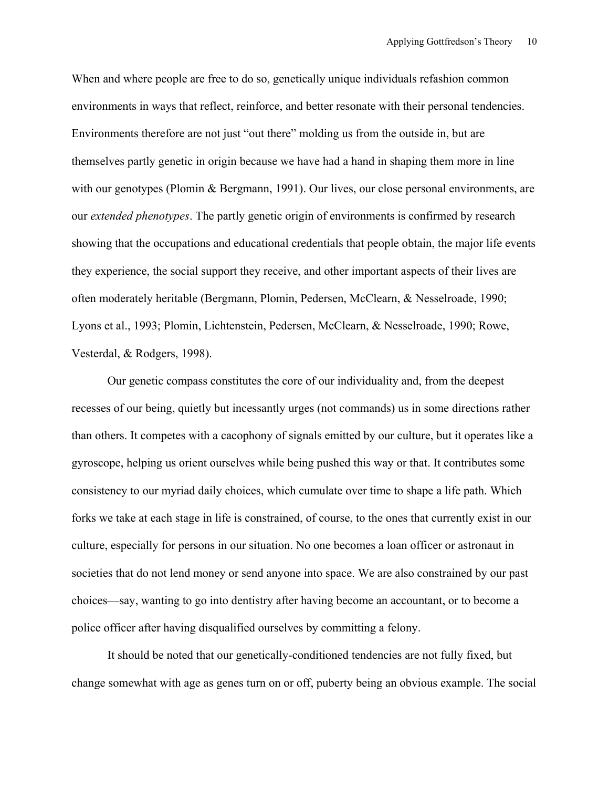When and where people are free to do so, genetically unique individuals refashion common environments in ways that reflect, reinforce, and better resonate with their personal tendencies. Environments therefore are not just "out there" molding us from the outside in, but are themselves partly genetic in origin because we have had a hand in shaping them more in line with our genotypes (Plomin & Bergmann, 1991). Our lives, our close personal environments, are our *extended phenotypes*. The partly genetic origin of environments is confirmed by research showing that the occupations and educational credentials that people obtain, the major life events they experience, the social support they receive, and other important aspects of their lives are often moderately heritable (Bergmann, Plomin, Pedersen, McClearn, & Nesselroade, 1990; Lyons et al., 1993; Plomin, Lichtenstein, Pedersen, McClearn, & Nesselroade, 1990; Rowe, Vesterdal, & Rodgers, 1998).

Our genetic compass constitutes the core of our individuality and, from the deepest recesses of our being, quietly but incessantly urges (not commands) us in some directions rather than others. It competes with a cacophony of signals emitted by our culture, but it operates like a gyroscope, helping us orient ourselves while being pushed this way or that. It contributes some consistency to our myriad daily choices, which cumulate over time to shape a life path. Which forks we take at each stage in life is constrained, of course, to the ones that currently exist in our culture, especially for persons in our situation. No one becomes a loan officer or astronaut in societies that do not lend money or send anyone into space. We are also constrained by our past choices—say, wanting to go into dentistry after having become an accountant, or to become a police officer after having disqualified ourselves by committing a felony.

It should be noted that our genetically-conditioned tendencies are not fully fixed, but change somewhat with age as genes turn on or off, puberty being an obvious example. The social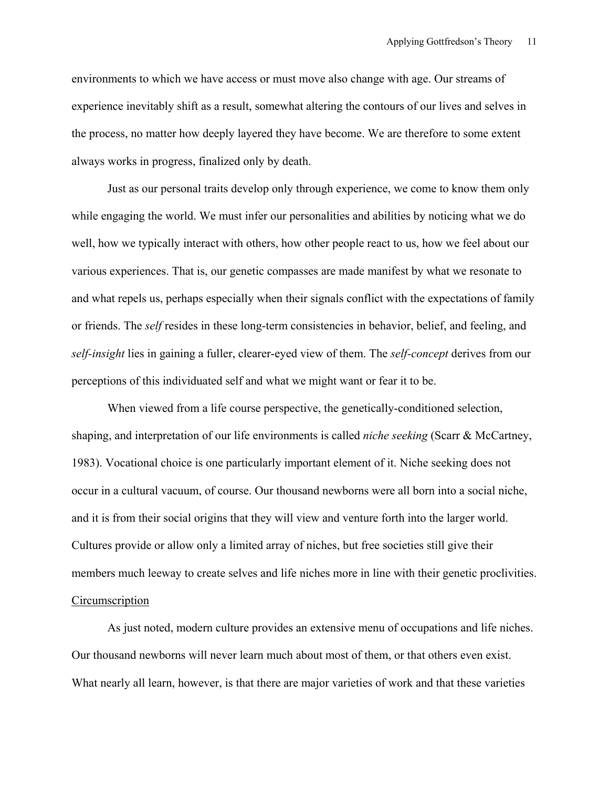environments to which we have access or must move also change with age. Our streams of experience inevitably shift as a result, somewhat altering the contours of our lives and selves in the process, no matter how deeply layered they have become. We are therefore to some extent always works in progress, finalized only by death.

Just as our personal traits develop only through experience, we come to know them only while engaging the world. We must infer our personalities and abilities by noticing what we do well, how we typically interact with others, how other people react to us, how we feel about our various experiences. That is, our genetic compasses are made manifest by what we resonate to and what repels us, perhaps especially when their signals conflict with the expectations of family or friends. The *self* resides in these long-term consistencies in behavior, belief, and feeling, and *self-insight* lies in gaining a fuller, clearer-eyed view of them. The *self-concept* derives from our perceptions of this individuated self and what we might want or fear it to be.

When viewed from a life course perspective, the genetically-conditioned selection, shaping, and interpretation of our life environments is called *niche seeking* (Scarr & McCartney, 1983). Vocational choice is one particularly important element of it. Niche seeking does not occur in a cultural vacuum, of course. Our thousand newborns were all born into a social niche, and it is from their social origins that they will view and venture forth into the larger world. Cultures provide or allow only a limited array of niches, but free societies still give their members much leeway to create selves and life niches more in line with their genetic proclivities. **Circumscription** 

 As just noted, modern culture provides an extensive menu of occupations and life niches. Our thousand newborns will never learn much about most of them, or that others even exist. What nearly all learn, however, is that there are major varieties of work and that these varieties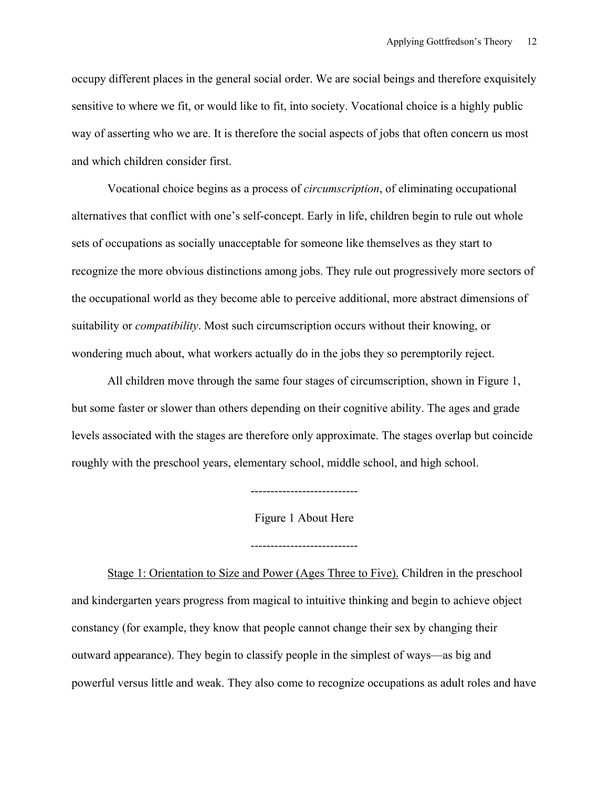occupy different places in the general social order. We are social beings and therefore exquisitely sensitive to where we fit, or would like to fit, into society. Vocational choice is a highly public way of asserting who we are. It is therefore the social aspects of jobs that often concern us most and which children consider first.

 Vocational choice begins as a process of *circumscription*, of eliminating occupational alternatives that conflict with one's self-concept. Early in life, children begin to rule out whole sets of occupations as socially unacceptable for someone like themselves as they start to recognize the more obvious distinctions among jobs. They rule out progressively more sectors of the occupational world as they become able to perceive additional, more abstract dimensions of suitability or *compatibility*. Most such circumscription occurs without their knowing, or wondering much about, what workers actually do in the jobs they so peremptorily reject.

All children move through the same four stages of circumscription, shown in Figure 1, but some faster or slower than others depending on their cognitive ability. The ages and grade levels associated with the stages are therefore only approximate. The stages overlap but coincide roughly with the preschool years, elementary school, middle school, and high school.

Figure 1 About Here

---------------------------

---------------------------

Stage 1: Orientation to Size and Power (Ages Three to Five). Children in the preschool and kindergarten years progress from magical to intuitive thinking and begin to achieve object constancy (for example, they know that people cannot change their sex by changing their outward appearance). They begin to classify people in the simplest of ways—as big and powerful versus little and weak. They also come to recognize occupations as adult roles and have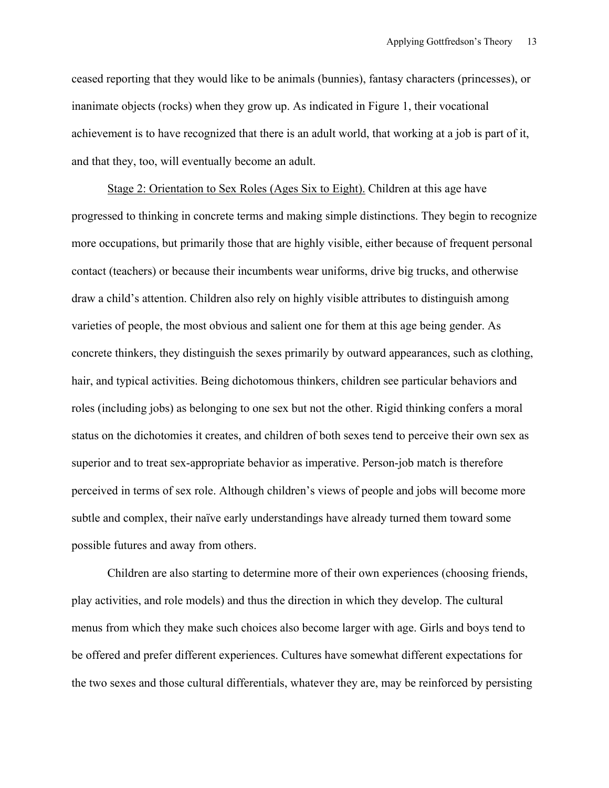ceased reporting that they would like to be animals (bunnies), fantasy characters (princesses), or inanimate objects (rocks) when they grow up. As indicated in Figure 1, their vocational achievement is to have recognized that there is an adult world, that working at a job is part of it, and that they, too, will eventually become an adult.

Stage 2: Orientation to Sex Roles (Ages Six to Eight). Children at this age have progressed to thinking in concrete terms and making simple distinctions. They begin to recognize more occupations, but primarily those that are highly visible, either because of frequent personal contact (teachers) or because their incumbents wear uniforms, drive big trucks, and otherwise draw a child's attention. Children also rely on highly visible attributes to distinguish among varieties of people, the most obvious and salient one for them at this age being gender. As concrete thinkers, they distinguish the sexes primarily by outward appearances, such as clothing, hair, and typical activities. Being dichotomous thinkers, children see particular behaviors and roles (including jobs) as belonging to one sex but not the other. Rigid thinking confers a moral status on the dichotomies it creates, and children of both sexes tend to perceive their own sex as superior and to treat sex-appropriate behavior as imperative. Person-job match is therefore perceived in terms of sex role. Although children's views of people and jobs will become more subtle and complex, their naïve early understandings have already turned them toward some possible futures and away from others.

 Children are also starting to determine more of their own experiences (choosing friends, play activities, and role models) and thus the direction in which they develop. The cultural menus from which they make such choices also become larger with age. Girls and boys tend to be offered and prefer different experiences. Cultures have somewhat different expectations for the two sexes and those cultural differentials, whatever they are, may be reinforced by persisting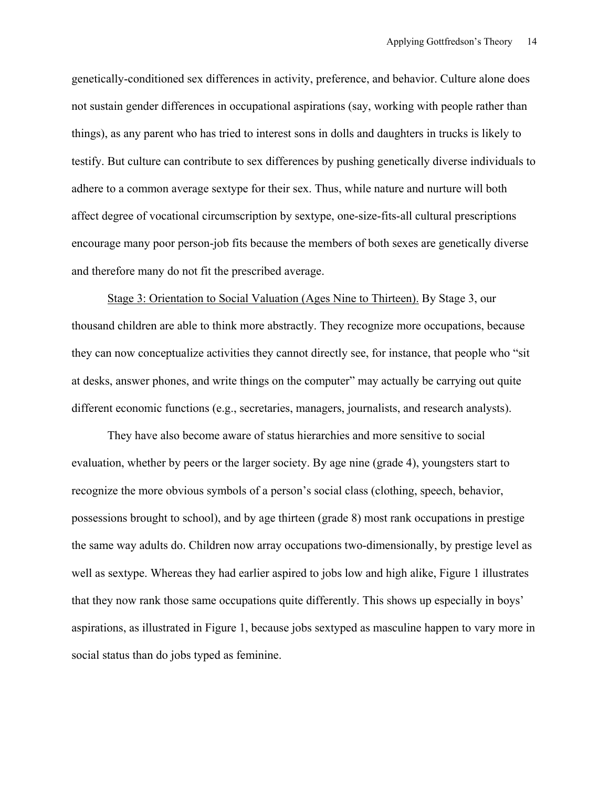genetically-conditioned sex differences in activity, preference, and behavior. Culture alone does not sustain gender differences in occupational aspirations (say, working with people rather than things), as any parent who has tried to interest sons in dolls and daughters in trucks is likely to testify. But culture can contribute to sex differences by pushing genetically diverse individuals to adhere to a common average sextype for their sex. Thus, while nature and nurture will both affect degree of vocational circumscription by sextype, one-size-fits-all cultural prescriptions encourage many poor person-job fits because the members of both sexes are genetically diverse and therefore many do not fit the prescribed average.

Stage 3: Orientation to Social Valuation (Ages Nine to Thirteen). By Stage 3, our thousand children are able to think more abstractly. They recognize more occupations, because they can now conceptualize activities they cannot directly see, for instance, that people who "sit at desks, answer phones, and write things on the computer" may actually be carrying out quite different economic functions (e.g., secretaries, managers, journalists, and research analysts).

They have also become aware of status hierarchies and more sensitive to social evaluation, whether by peers or the larger society. By age nine (grade 4), youngsters start to recognize the more obvious symbols of a person's social class (clothing, speech, behavior, possessions brought to school), and by age thirteen (grade 8) most rank occupations in prestige the same way adults do. Children now array occupations two-dimensionally, by prestige level as well as sextype. Whereas they had earlier aspired to jobs low and high alike, Figure 1 illustrates that they now rank those same occupations quite differently. This shows up especially in boys' aspirations, as illustrated in Figure 1, because jobs sextyped as masculine happen to vary more in social status than do jobs typed as feminine.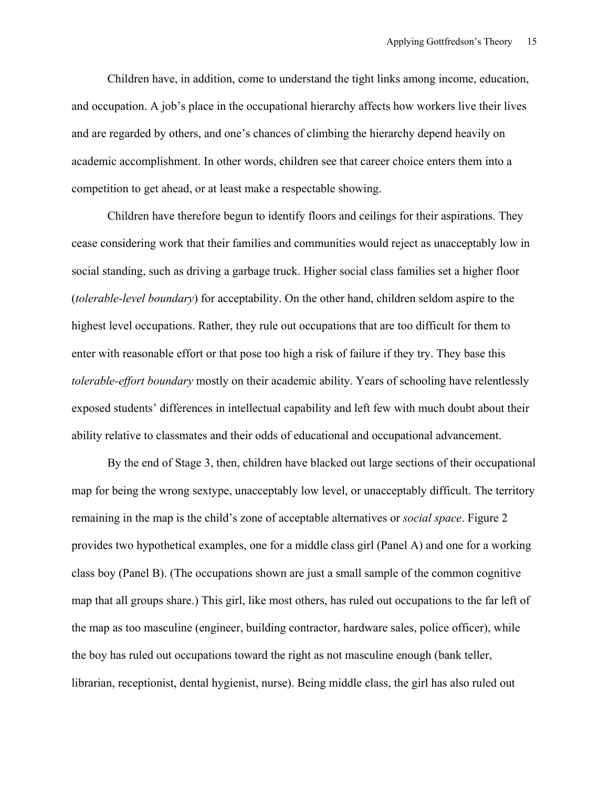Children have, in addition, come to understand the tight links among income, education, and occupation. A job's place in the occupational hierarchy affects how workers live their lives and are regarded by others, and one's chances of climbing the hierarchy depend heavily on academic accomplishment. In other words, children see that career choice enters them into a competition to get ahead, or at least make a respectable showing.

 Children have therefore begun to identify floors and ceilings for their aspirations. They cease considering work that their families and communities would reject as unacceptably low in social standing, such as driving a garbage truck. Higher social class families set a higher floor (*tolerable-level boundary*) for acceptability. On the other hand, children seldom aspire to the highest level occupations. Rather, they rule out occupations that are too difficult for them to enter with reasonable effort or that pose too high a risk of failure if they try. They base this *tolerable-effort boundary* mostly on their academic ability. Years of schooling have relentlessly exposed students' differences in intellectual capability and left few with much doubt about their ability relative to classmates and their odds of educational and occupational advancement.

 By the end of Stage 3, then, children have blacked out large sections of their occupational map for being the wrong sextype, unacceptably low level, or unacceptably difficult. The territory remaining in the map is the child's zone of acceptable alternatives or *social space*. Figure 2 provides two hypothetical examples, one for a middle class girl (Panel A) and one for a working class boy (Panel B). (The occupations shown are just a small sample of the common cognitive map that all groups share.) This girl, like most others, has ruled out occupations to the far left of the map as too masculine (engineer, building contractor, hardware sales, police officer), while the boy has ruled out occupations toward the right as not masculine enough (bank teller, librarian, receptionist, dental hygienist, nurse). Being middle class, the girl has also ruled out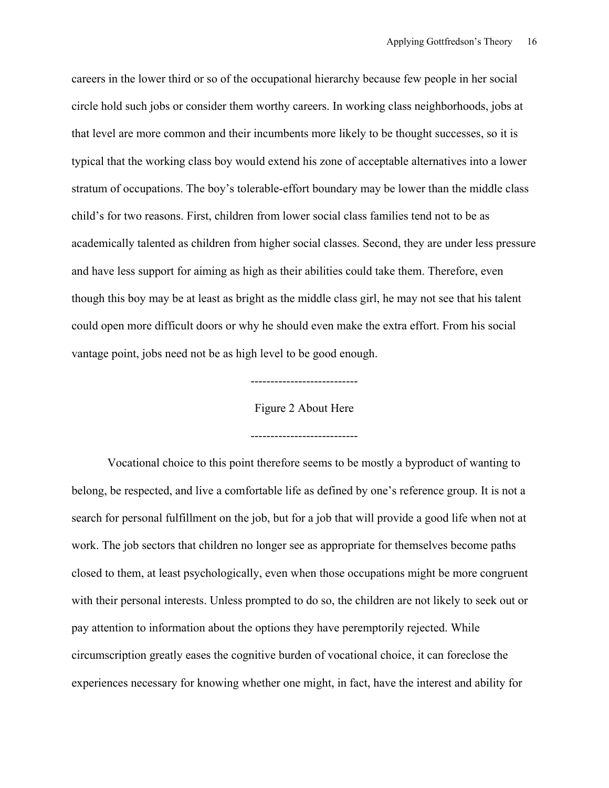careers in the lower third or so of the occupational hierarchy because few people in her social circle hold such jobs or consider them worthy careers. In working class neighborhoods, jobs at that level are more common and their incumbents more likely to be thought successes, so it is typical that the working class boy would extend his zone of acceptable alternatives into a lower stratum of occupations. The boy's tolerable-effort boundary may be lower than the middle class child's for two reasons. First, children from lower social class families tend not to be as academically talented as children from higher social classes. Second, they are under less pressure and have less support for aiming as high as their abilities could take them. Therefore, even though this boy may be at least as bright as the middle class girl, he may not see that his talent could open more difficult doors or why he should even make the extra effort. From his social vantage point, jobs need not be as high level to be good enough.

---------------------------

Figure 2 About Here

---------------------------

Vocational choice to this point therefore seems to be mostly a byproduct of wanting to belong, be respected, and live a comfortable life as defined by one's reference group. It is not a search for personal fulfillment on the job, but for a job that will provide a good life when not at work. The job sectors that children no longer see as appropriate for themselves become paths closed to them, at least psychologically, even when those occupations might be more congruent with their personal interests. Unless prompted to do so, the children are not likely to seek out or pay attention to information about the options they have peremptorily rejected. While circumscription greatly eases the cognitive burden of vocational choice, it can foreclose the experiences necessary for knowing whether one might, in fact, have the interest and ability for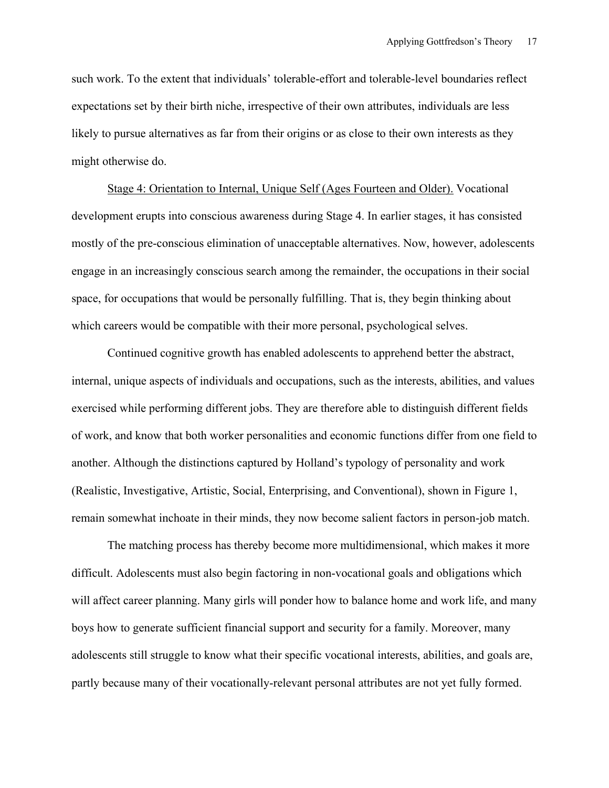such work. To the extent that individuals' tolerable-effort and tolerable-level boundaries reflect expectations set by their birth niche, irrespective of their own attributes, individuals are less likely to pursue alternatives as far from their origins or as close to their own interests as they might otherwise do.

Stage 4: Orientation to Internal, Unique Self (Ages Fourteen and Older). Vocational development erupts into conscious awareness during Stage 4. In earlier stages, it has consisted mostly of the pre-conscious elimination of unacceptable alternatives. Now, however, adolescents engage in an increasingly conscious search among the remainder, the occupations in their social space, for occupations that would be personally fulfilling. That is, they begin thinking about which careers would be compatible with their more personal, psychological selves.

Continued cognitive growth has enabled adolescents to apprehend better the abstract, internal, unique aspects of individuals and occupations, such as the interests, abilities, and values exercised while performing different jobs. They are therefore able to distinguish different fields of work, and know that both worker personalities and economic functions differ from one field to another. Although the distinctions captured by Holland's typology of personality and work (Realistic, Investigative, Artistic, Social, Enterprising, and Conventional), shown in Figure 1, remain somewhat inchoate in their minds, they now become salient factors in person-job match.

The matching process has thereby become more multidimensional, which makes it more difficult. Adolescents must also begin factoring in non-vocational goals and obligations which will affect career planning. Many girls will ponder how to balance home and work life, and many boys how to generate sufficient financial support and security for a family. Moreover, many adolescents still struggle to know what their specific vocational interests, abilities, and goals are, partly because many of their vocationally-relevant personal attributes are not yet fully formed.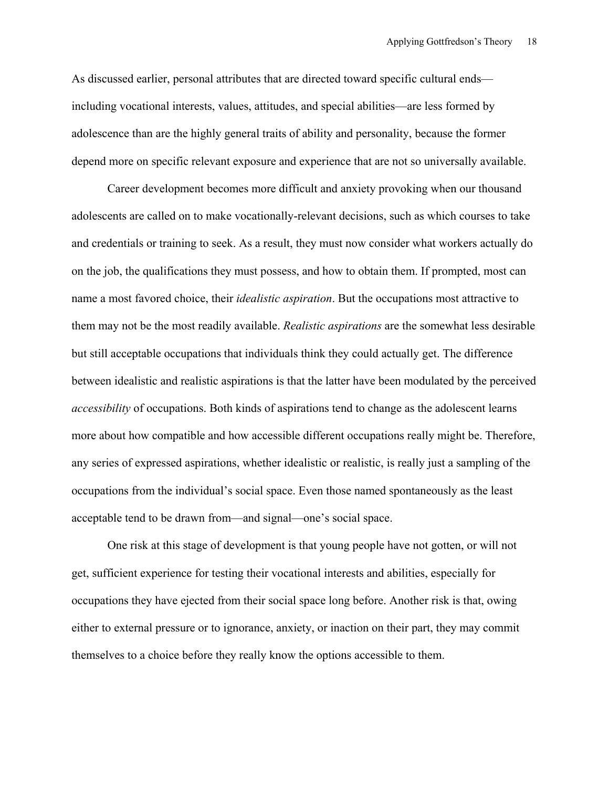As discussed earlier, personal attributes that are directed toward specific cultural ends including vocational interests, values, attitudes, and special abilities—are less formed by adolescence than are the highly general traits of ability and personality, because the former depend more on specific relevant exposure and experience that are not so universally available.

Career development becomes more difficult and anxiety provoking when our thousand adolescents are called on to make vocationally-relevant decisions, such as which courses to take and credentials or training to seek. As a result, they must now consider what workers actually do on the job, the qualifications they must possess, and how to obtain them. If prompted, most can name a most favored choice, their *idealistic aspiration*. But the occupations most attractive to them may not be the most readily available. *Realistic aspirations* are the somewhat less desirable but still acceptable occupations that individuals think they could actually get. The difference between idealistic and realistic aspirations is that the latter have been modulated by the perceived *accessibility* of occupations. Both kinds of aspirations tend to change as the adolescent learns more about how compatible and how accessible different occupations really might be. Therefore, any series of expressed aspirations, whether idealistic or realistic, is really just a sampling of the occupations from the individual's social space. Even those named spontaneously as the least acceptable tend to be drawn from—and signal—one's social space.

One risk at this stage of development is that young people have not gotten, or will not get, sufficient experience for testing their vocational interests and abilities, especially for occupations they have ejected from their social space long before. Another risk is that, owing either to external pressure or to ignorance, anxiety, or inaction on their part, they may commit themselves to a choice before they really know the options accessible to them.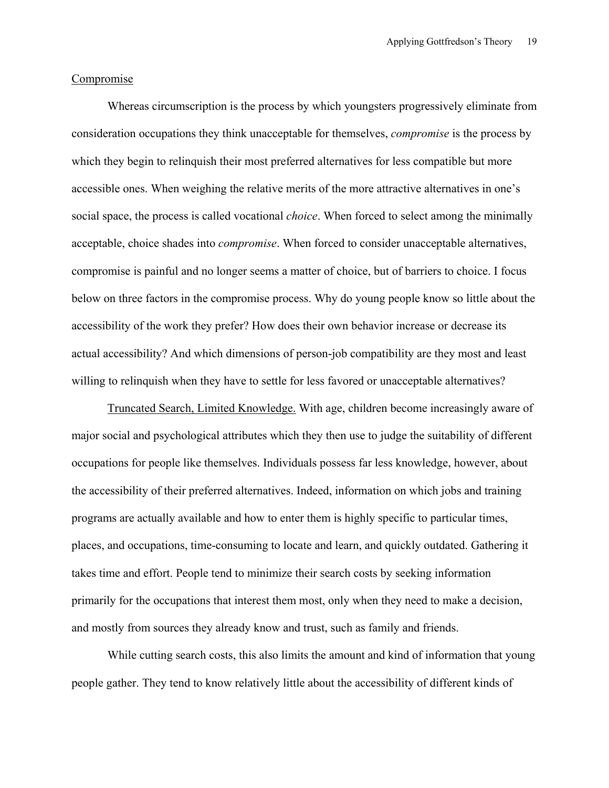#### Compromise

Whereas circumscription is the process by which youngsters progressively eliminate from consideration occupations they think unacceptable for themselves, *compromise* is the process by which they begin to relinquish their most preferred alternatives for less compatible but more accessible ones. When weighing the relative merits of the more attractive alternatives in one's social space, the process is called vocational *choice*. When forced to select among the minimally acceptable, choice shades into *compromise*. When forced to consider unacceptable alternatives, compromise is painful and no longer seems a matter of choice, but of barriers to choice. I focus below on three factors in the compromise process. Why do young people know so little about the accessibility of the work they prefer? How does their own behavior increase or decrease its actual accessibility? And which dimensions of person-job compatibility are they most and least willing to relinquish when they have to settle for less favored or unacceptable alternatives?

Truncated Search, Limited Knowledge. With age, children become increasingly aware of major social and psychological attributes which they then use to judge the suitability of different occupations for people like themselves. Individuals possess far less knowledge, however, about the accessibility of their preferred alternatives. Indeed, information on which jobs and training programs are actually available and how to enter them is highly specific to particular times, places, and occupations, time-consuming to locate and learn, and quickly outdated. Gathering it takes time and effort. People tend to minimize their search costs by seeking information primarily for the occupations that interest them most, only when they need to make a decision, and mostly from sources they already know and trust, such as family and friends.

While cutting search costs, this also limits the amount and kind of information that young people gather. They tend to know relatively little about the accessibility of different kinds of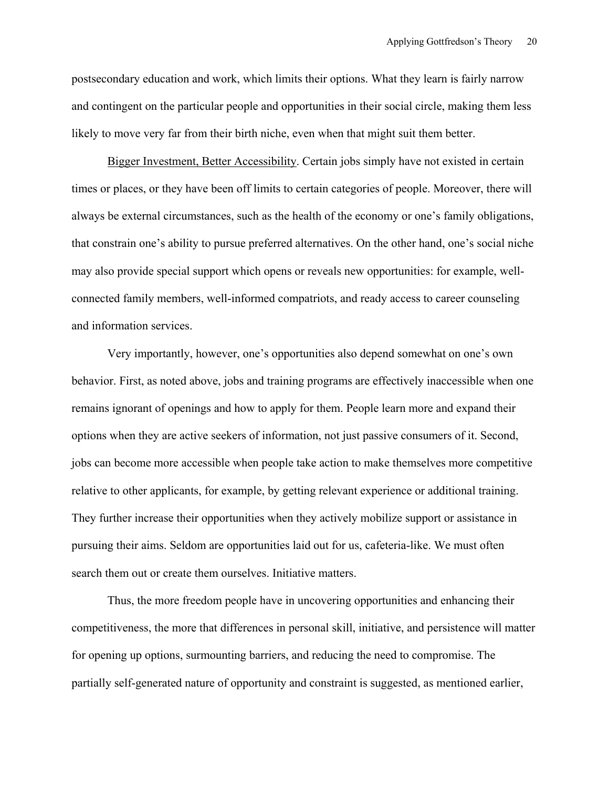postsecondary education and work, which limits their options. What they learn is fairly narrow and contingent on the particular people and opportunities in their social circle, making them less likely to move very far from their birth niche, even when that might suit them better.

Bigger Investment, Better Accessibility. Certain jobs simply have not existed in certain times or places, or they have been off limits to certain categories of people. Moreover, there will always be external circumstances, such as the health of the economy or one's family obligations, that constrain one's ability to pursue preferred alternatives. On the other hand, one's social niche may also provide special support which opens or reveals new opportunities: for example, wellconnected family members, well-informed compatriots, and ready access to career counseling and information services.

Very importantly, however, one's opportunities also depend somewhat on one's own behavior. First, as noted above, jobs and training programs are effectively inaccessible when one remains ignorant of openings and how to apply for them. People learn more and expand their options when they are active seekers of information, not just passive consumers of it. Second, jobs can become more accessible when people take action to make themselves more competitive relative to other applicants, for example, by getting relevant experience or additional training. They further increase their opportunities when they actively mobilize support or assistance in pursuing their aims. Seldom are opportunities laid out for us, cafeteria-like. We must often search them out or create them ourselves. Initiative matters.

Thus, the more freedom people have in uncovering opportunities and enhancing their competitiveness, the more that differences in personal skill, initiative, and persistence will matter for opening up options, surmounting barriers, and reducing the need to compromise. The partially self-generated nature of opportunity and constraint is suggested, as mentioned earlier,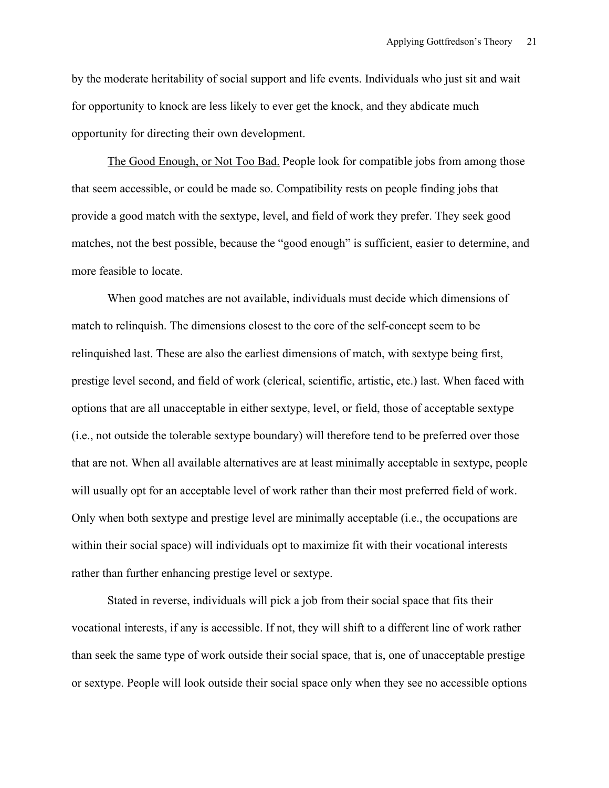by the moderate heritability of social support and life events. Individuals who just sit and wait for opportunity to knock are less likely to ever get the knock, and they abdicate much opportunity for directing their own development.

The Good Enough, or Not Too Bad. People look for compatible jobs from among those that seem accessible, or could be made so. Compatibility rests on people finding jobs that provide a good match with the sextype, level, and field of work they prefer. They seek good matches, not the best possible, because the "good enough" is sufficient, easier to determine, and more feasible to locate.

When good matches are not available, individuals must decide which dimensions of match to relinquish. The dimensions closest to the core of the self-concept seem to be relinquished last. These are also the earliest dimensions of match, with sextype being first, prestige level second, and field of work (clerical, scientific, artistic, etc.) last. When faced with options that are all unacceptable in either sextype, level, or field, those of acceptable sextype (i.e., not outside the tolerable sextype boundary) will therefore tend to be preferred over those that are not. When all available alternatives are at least minimally acceptable in sextype, people will usually opt for an acceptable level of work rather than their most preferred field of work. Only when both sextype and prestige level are minimally acceptable (i.e., the occupations are within their social space) will individuals opt to maximize fit with their vocational interests rather than further enhancing prestige level or sextype.

Stated in reverse, individuals will pick a job from their social space that fits their vocational interests, if any is accessible. If not, they will shift to a different line of work rather than seek the same type of work outside their social space, that is, one of unacceptable prestige or sextype. People will look outside their social space only when they see no accessible options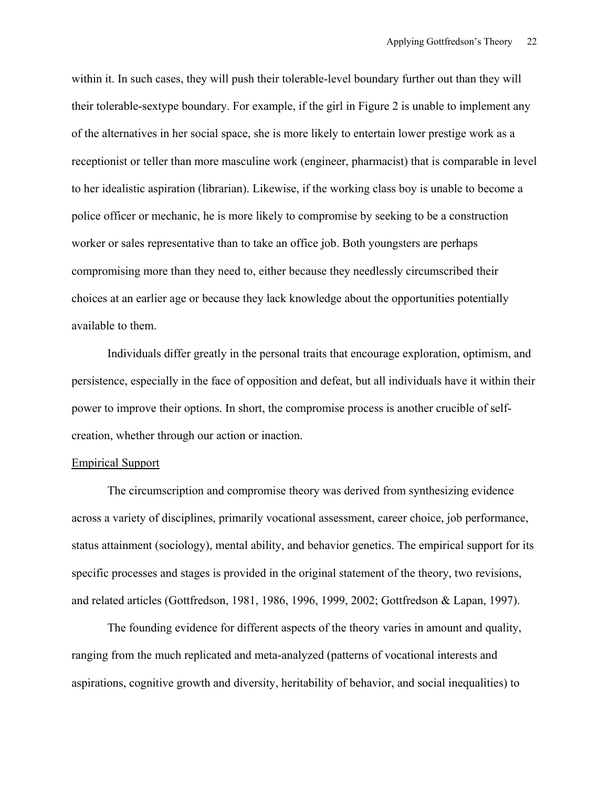within it. In such cases, they will push their tolerable-level boundary further out than they will their tolerable-sextype boundary. For example, if the girl in Figure 2 is unable to implement any of the alternatives in her social space, she is more likely to entertain lower prestige work as a receptionist or teller than more masculine work (engineer, pharmacist) that is comparable in level to her idealistic aspiration (librarian). Likewise, if the working class boy is unable to become a police officer or mechanic, he is more likely to compromise by seeking to be a construction worker or sales representative than to take an office job. Both youngsters are perhaps compromising more than they need to, either because they needlessly circumscribed their choices at an earlier age or because they lack knowledge about the opportunities potentially available to them.

Individuals differ greatly in the personal traits that encourage exploration, optimism, and persistence, especially in the face of opposition and defeat, but all individuals have it within their power to improve their options. In short, the compromise process is another crucible of selfcreation, whether through our action or inaction.

#### Empirical Support

The circumscription and compromise theory was derived from synthesizing evidence across a variety of disciplines, primarily vocational assessment, career choice, job performance, status attainment (sociology), mental ability, and behavior genetics. The empirical support for its specific processes and stages is provided in the original statement of the theory, two revisions, and related articles (Gottfredson, 1981, 1986, 1996, 1999, 2002; Gottfredson & Lapan, 1997).

The founding evidence for different aspects of the theory varies in amount and quality, ranging from the much replicated and meta-analyzed (patterns of vocational interests and aspirations, cognitive growth and diversity, heritability of behavior, and social inequalities) to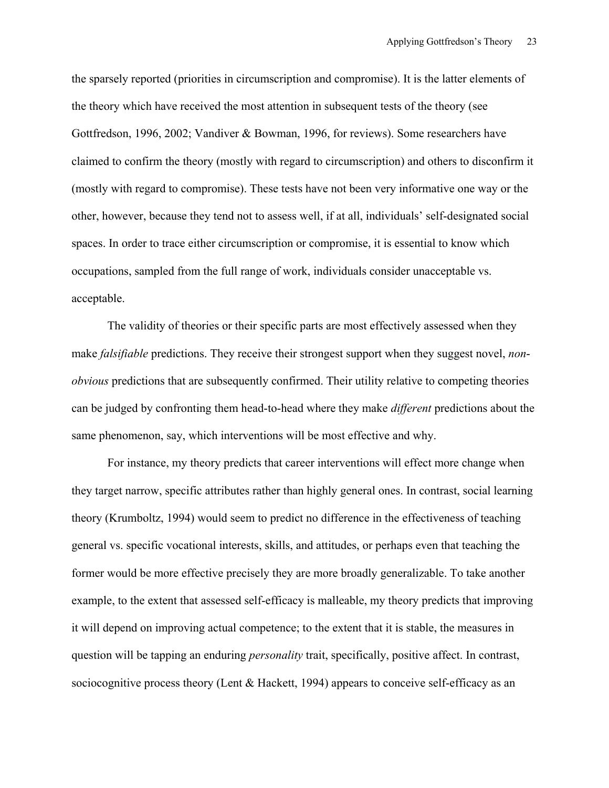the sparsely reported (priorities in circumscription and compromise). It is the latter elements of the theory which have received the most attention in subsequent tests of the theory (see Gottfredson, 1996, 2002; Vandiver & Bowman, 1996, for reviews). Some researchers have claimed to confirm the theory (mostly with regard to circumscription) and others to disconfirm it (mostly with regard to compromise). These tests have not been very informative one way or the other, however, because they tend not to assess well, if at all, individuals' self-designated social spaces. In order to trace either circumscription or compromise, it is essential to know which occupations, sampled from the full range of work, individuals consider unacceptable vs. acceptable.

The validity of theories or their specific parts are most effectively assessed when they make *falsifiable* predictions. They receive their strongest support when they suggest novel, *nonobvious* predictions that are subsequently confirmed. Their utility relative to competing theories can be judged by confronting them head-to-head where they make *different* predictions about the same phenomenon, say, which interventions will be most effective and why.

For instance, my theory predicts that career interventions will effect more change when they target narrow, specific attributes rather than highly general ones. In contrast, social learning theory (Krumboltz, 1994) would seem to predict no difference in the effectiveness of teaching general vs. specific vocational interests, skills, and attitudes, or perhaps even that teaching the former would be more effective precisely they are more broadly generalizable. To take another example, to the extent that assessed self-efficacy is malleable, my theory predicts that improving it will depend on improving actual competence; to the extent that it is stable, the measures in question will be tapping an enduring *personality* trait, specifically, positive affect. In contrast, sociocognitive process theory (Lent & Hackett, 1994) appears to conceive self-efficacy as an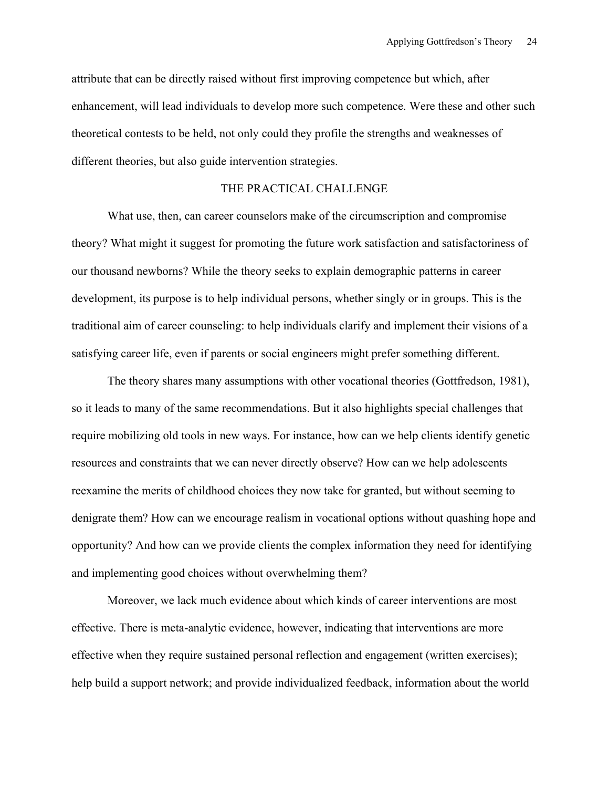attribute that can be directly raised without first improving competence but which, after enhancement, will lead individuals to develop more such competence. Were these and other such theoretical contests to be held, not only could they profile the strengths and weaknesses of different theories, but also guide intervention strategies.

### THE PRACTICAL CHALLENGE

 What use, then, can career counselors make of the circumscription and compromise theory? What might it suggest for promoting the future work satisfaction and satisfactoriness of our thousand newborns? While the theory seeks to explain demographic patterns in career development, its purpose is to help individual persons, whether singly or in groups. This is the traditional aim of career counseling: to help individuals clarify and implement their visions of a satisfying career life, even if parents or social engineers might prefer something different.

The theory shares many assumptions with other vocational theories (Gottfredson, 1981), so it leads to many of the same recommendations. But it also highlights special challenges that require mobilizing old tools in new ways. For instance, how can we help clients identify genetic resources and constraints that we can never directly observe? How can we help adolescents reexamine the merits of childhood choices they now take for granted, but without seeming to denigrate them? How can we encourage realism in vocational options without quashing hope and opportunity? And how can we provide clients the complex information they need for identifying and implementing good choices without overwhelming them?

 Moreover, we lack much evidence about which kinds of career interventions are most effective. There is meta-analytic evidence, however, indicating that interventions are more effective when they require sustained personal reflection and engagement (written exercises); help build a support network; and provide individualized feedback, information about the world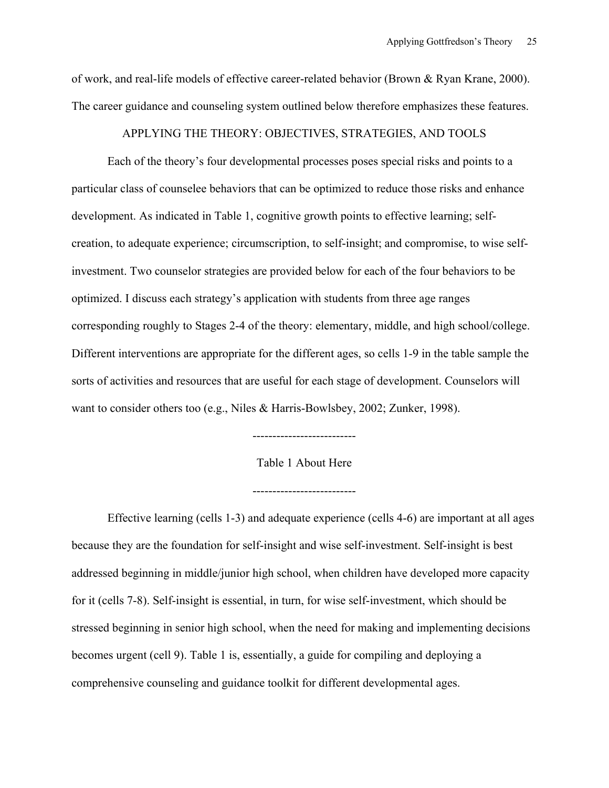of work, and real-life models of effective career-related behavior (Brown & Ryan Krane, 2000). The career guidance and counseling system outlined below therefore emphasizes these features.

#### APPLYING THE THEORY: OBJECTIVES, STRATEGIES, AND TOOLS

Each of the theory's four developmental processes poses special risks and points to a particular class of counselee behaviors that can be optimized to reduce those risks and enhance development. As indicated in Table 1, cognitive growth points to effective learning; selfcreation, to adequate experience; circumscription, to self-insight; and compromise, to wise selfinvestment. Two counselor strategies are provided below for each of the four behaviors to be optimized. I discuss each strategy's application with students from three age ranges corresponding roughly to Stages 2-4 of the theory: elementary, middle, and high school/college. Different interventions are appropriate for the different ages, so cells 1-9 in the table sample the sorts of activities and resources that are useful for each stage of development. Counselors will want to consider others too (e.g., Niles & Harris-Bowlsbey, 2002; Zunker, 1998).

Table 1 About Here

--------------------------

--------------------------

Effective learning (cells 1-3) and adequate experience (cells 4-6) are important at all ages because they are the foundation for self-insight and wise self-investment. Self-insight is best addressed beginning in middle/junior high school, when children have developed more capacity for it (cells 7-8). Self-insight is essential, in turn, for wise self-investment, which should be stressed beginning in senior high school, when the need for making and implementing decisions becomes urgent (cell 9). Table 1 is, essentially, a guide for compiling and deploying a comprehensive counseling and guidance toolkit for different developmental ages.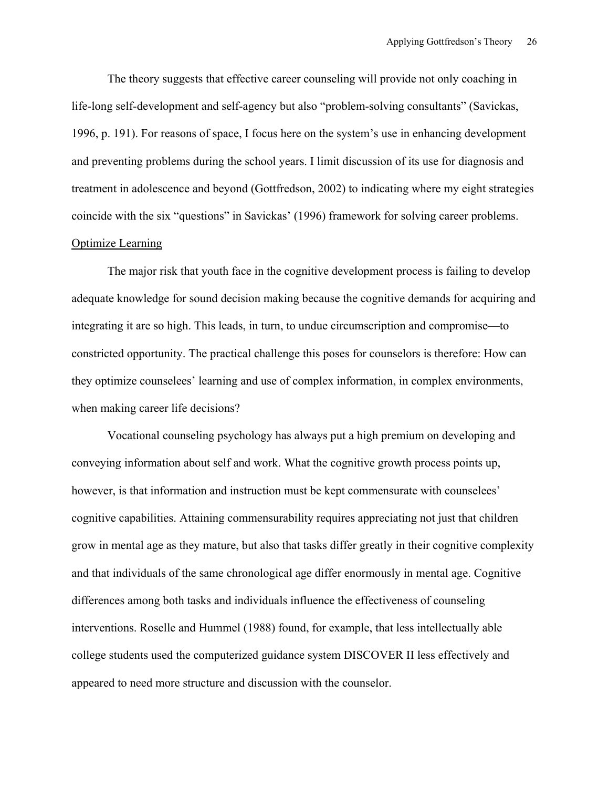The theory suggests that effective career counseling will provide not only coaching in life-long self-development and self-agency but also "problem-solving consultants" (Savickas, 1996, p. 191). For reasons of space, I focus here on the system's use in enhancing development and preventing problems during the school years. I limit discussion of its use for diagnosis and treatment in adolescence and beyond (Gottfredson, 2002) to indicating where my eight strategies coincide with the six "questions" in Savickas' (1996) framework for solving career problems. Optimize Learning

 The major risk that youth face in the cognitive development process is failing to develop adequate knowledge for sound decision making because the cognitive demands for acquiring and integrating it are so high. This leads, in turn, to undue circumscription and compromise—to constricted opportunity. The practical challenge this poses for counselors is therefore: How can they optimize counselees' learning and use of complex information, in complex environments, when making career life decisions?

Vocational counseling psychology has always put a high premium on developing and conveying information about self and work. What the cognitive growth process points up, however, is that information and instruction must be kept commensurate with counselees' cognitive capabilities. Attaining commensurability requires appreciating not just that children grow in mental age as they mature, but also that tasks differ greatly in their cognitive complexity and that individuals of the same chronological age differ enormously in mental age. Cognitive differences among both tasks and individuals influence the effectiveness of counseling interventions. Roselle and Hummel (1988) found, for example, that less intellectually able college students used the computerized guidance system DISCOVER II less effectively and appeared to need more structure and discussion with the counselor.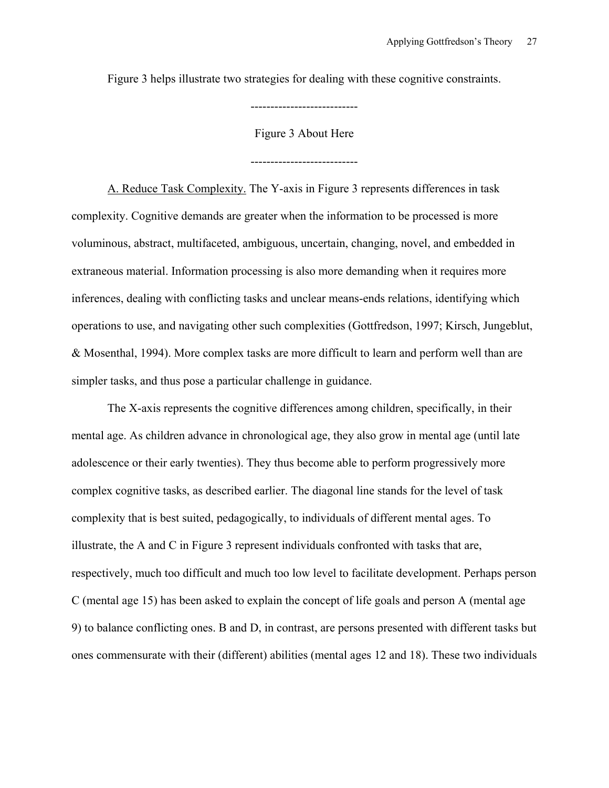Figure 3 helps illustrate two strategies for dealing with these cognitive constraints.

---------------------------

Figure 3 About Here

---------------------------

 A. Reduce Task Complexity. The Y-axis in Figure 3 represents differences in task complexity. Cognitive demands are greater when the information to be processed is more voluminous, abstract, multifaceted, ambiguous, uncertain, changing, novel, and embedded in extraneous material. Information processing is also more demanding when it requires more inferences, dealing with conflicting tasks and unclear means-ends relations, identifying which operations to use, and navigating other such complexities (Gottfredson, 1997; Kirsch, Jungeblut, & Mosenthal, 1994). More complex tasks are more difficult to learn and perform well than are simpler tasks, and thus pose a particular challenge in guidance.

The X-axis represents the cognitive differences among children, specifically, in their mental age. As children advance in chronological age, they also grow in mental age (until late adolescence or their early twenties). They thus become able to perform progressively more complex cognitive tasks, as described earlier. The diagonal line stands for the level of task complexity that is best suited, pedagogically, to individuals of different mental ages. To illustrate, the A and C in Figure 3 represent individuals confronted with tasks that are, respectively, much too difficult and much too low level to facilitate development. Perhaps person C (mental age 15) has been asked to explain the concept of life goals and person A (mental age 9) to balance conflicting ones. B and D, in contrast, are persons presented with different tasks but ones commensurate with their (different) abilities (mental ages 12 and 18). These two individuals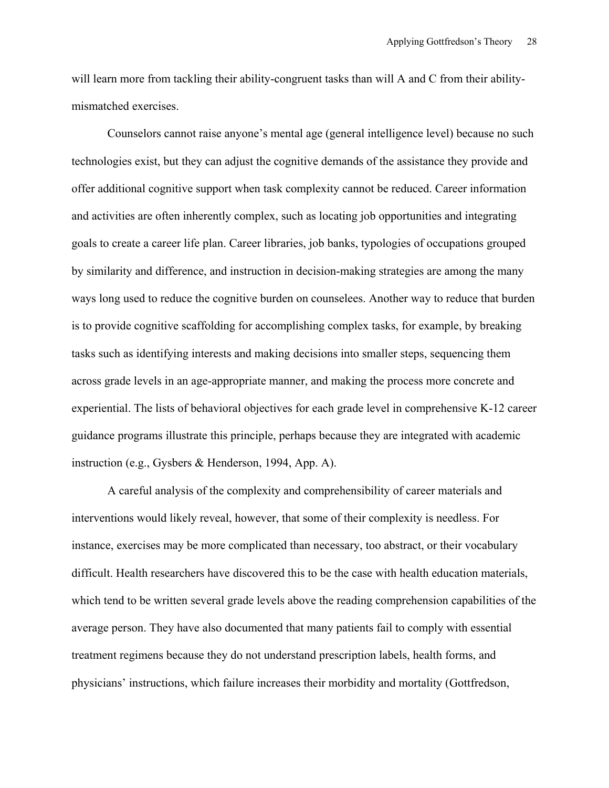will learn more from tackling their ability-congruent tasks than will A and C from their abilitymismatched exercises.

Counselors cannot raise anyone's mental age (general intelligence level) because no such technologies exist, but they can adjust the cognitive demands of the assistance they provide and offer additional cognitive support when task complexity cannot be reduced. Career information and activities are often inherently complex, such as locating job opportunities and integrating goals to create a career life plan. Career libraries, job banks, typologies of occupations grouped by similarity and difference, and instruction in decision-making strategies are among the many ways long used to reduce the cognitive burden on counselees. Another way to reduce that burden is to provide cognitive scaffolding for accomplishing complex tasks, for example, by breaking tasks such as identifying interests and making decisions into smaller steps, sequencing them across grade levels in an age-appropriate manner, and making the process more concrete and experiential. The lists of behavioral objectives for each grade level in comprehensive K-12 career guidance programs illustrate this principle, perhaps because they are integrated with academic instruction (e.g., Gysbers & Henderson, 1994, App. A).

A careful analysis of the complexity and comprehensibility of career materials and interventions would likely reveal, however, that some of their complexity is needless. For instance, exercises may be more complicated than necessary, too abstract, or their vocabulary difficult. Health researchers have discovered this to be the case with health education materials, which tend to be written several grade levels above the reading comprehension capabilities of the average person. They have also documented that many patients fail to comply with essential treatment regimens because they do not understand prescription labels, health forms, and physicians' instructions, which failure increases their morbidity and mortality (Gottfredson,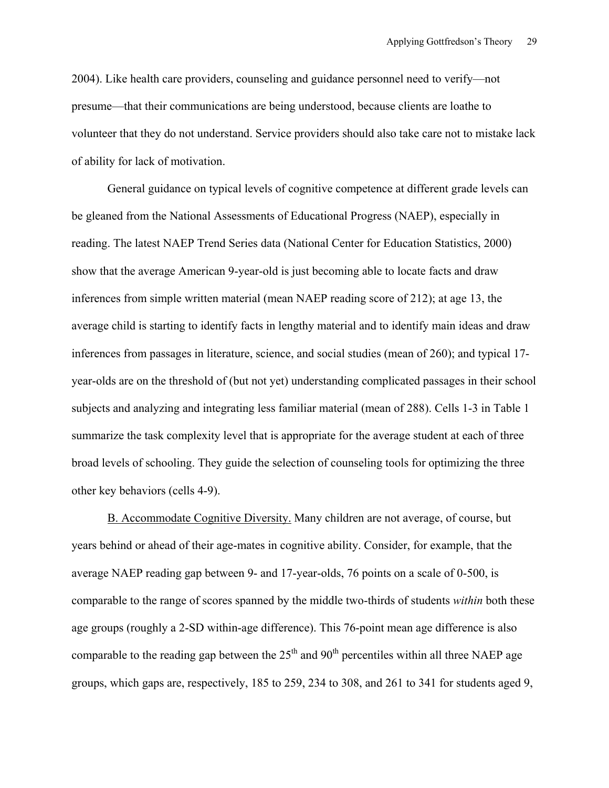2004). Like health care providers, counseling and guidance personnel need to verify—not presume—that their communications are being understood, because clients are loathe to volunteer that they do not understand. Service providers should also take care not to mistake lack of ability for lack of motivation.

General guidance on typical levels of cognitive competence at different grade levels can be gleaned from the National Assessments of Educational Progress (NAEP), especially in reading. The latest NAEP Trend Series data (National Center for Education Statistics, 2000) show that the average American 9-year-old is just becoming able to locate facts and draw inferences from simple written material (mean NAEP reading score of 212); at age 13, the average child is starting to identify facts in lengthy material and to identify main ideas and draw inferences from passages in literature, science, and social studies (mean of 260); and typical 17 year-olds are on the threshold of (but not yet) understanding complicated passages in their school subjects and analyzing and integrating less familiar material (mean of 288). Cells 1-3 in Table 1 summarize the task complexity level that is appropriate for the average student at each of three broad levels of schooling. They guide the selection of counseling tools for optimizing the three other key behaviors (cells 4-9).

B. Accommodate Cognitive Diversity. Many children are not average, of course, but years behind or ahead of their age-mates in cognitive ability. Consider, for example, that the average NAEP reading gap between 9- and 17-year-olds, 76 points on a scale of 0-500, is comparable to the range of scores spanned by the middle two-thirds of students *within* both these age groups (roughly a 2-SD within-age difference). This 76-point mean age difference is also comparable to the reading gap between the  $25<sup>th</sup>$  and  $90<sup>th</sup>$  percentiles within all three NAEP age groups, which gaps are, respectively, 185 to 259, 234 to 308, and 261 to 341 for students aged 9,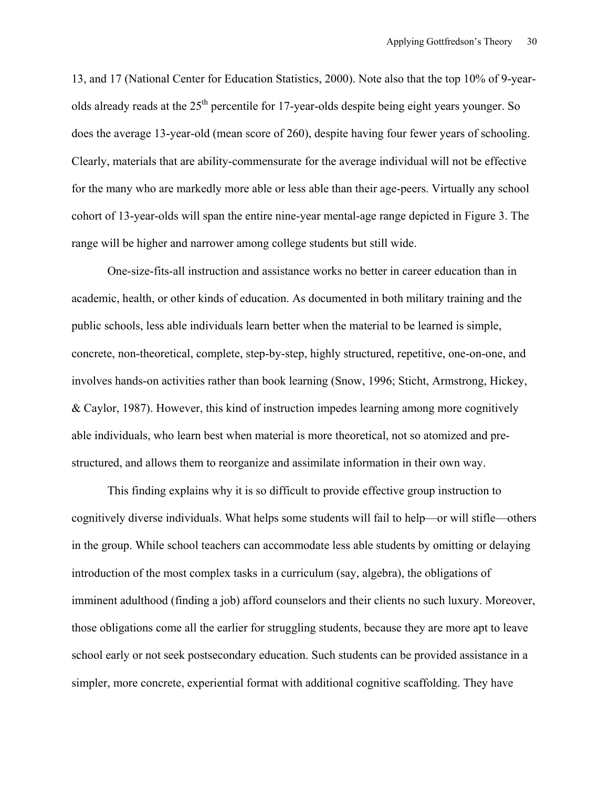13, and 17 (National Center for Education Statistics, 2000). Note also that the top 10% of 9-yearolds already reads at the  $25<sup>th</sup>$  percentile for 17-year-olds despite being eight years younger. So does the average 13-year-old (mean score of 260), despite having four fewer years of schooling. Clearly, materials that are ability-commensurate for the average individual will not be effective for the many who are markedly more able or less able than their age-peers. Virtually any school cohort of 13-year-olds will span the entire nine-year mental-age range depicted in Figure 3. The range will be higher and narrower among college students but still wide.

One-size-fits-all instruction and assistance works no better in career education than in academic, health, or other kinds of education. As documented in both military training and the public schools, less able individuals learn better when the material to be learned is simple, concrete, non-theoretical, complete, step-by-step, highly structured, repetitive, one-on-one, and involves hands-on activities rather than book learning (Snow, 1996; Sticht, Armstrong, Hickey, & Caylor, 1987). However, this kind of instruction impedes learning among more cognitively able individuals, who learn best when material is more theoretical, not so atomized and prestructured, and allows them to reorganize and assimilate information in their own way.

This finding explains why it is so difficult to provide effective group instruction to cognitively diverse individuals. What helps some students will fail to help—or will stifle—others in the group. While school teachers can accommodate less able students by omitting or delaying introduction of the most complex tasks in a curriculum (say, algebra), the obligations of imminent adulthood (finding a job) afford counselors and their clients no such luxury. Moreover, those obligations come all the earlier for struggling students, because they are more apt to leave school early or not seek postsecondary education. Such students can be provided assistance in a simpler, more concrete, experiential format with additional cognitive scaffolding. They have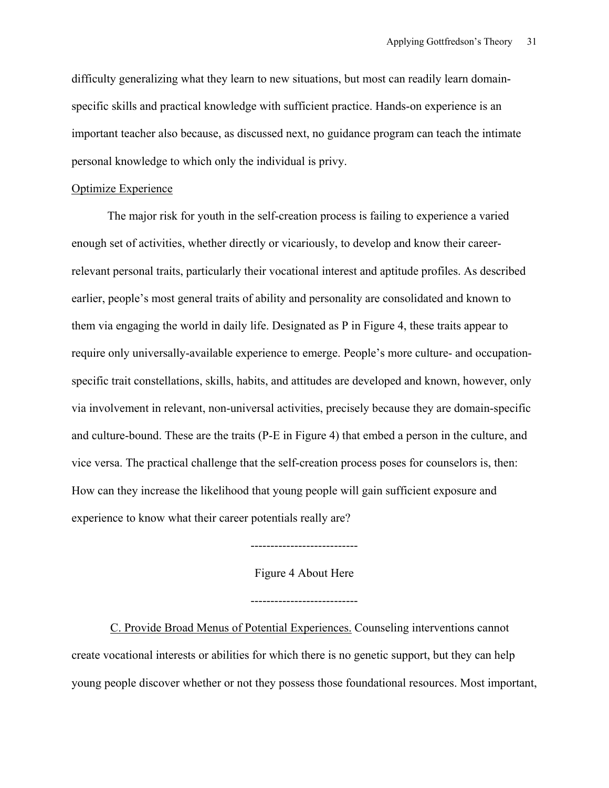difficulty generalizing what they learn to new situations, but most can readily learn domainspecific skills and practical knowledge with sufficient practice. Hands-on experience is an important teacher also because, as discussed next, no guidance program can teach the intimate personal knowledge to which only the individual is privy.

#### Optimize Experience

 The major risk for youth in the self-creation process is failing to experience a varied enough set of activities, whether directly or vicariously, to develop and know their careerrelevant personal traits, particularly their vocational interest and aptitude profiles. As described earlier, people's most general traits of ability and personality are consolidated and known to them via engaging the world in daily life. Designated as P in Figure 4, these traits appear to require only universally-available experience to emerge. People's more culture- and occupationspecific trait constellations, skills, habits, and attitudes are developed and known, however, only via involvement in relevant, non-universal activities, precisely because they are domain-specific and culture-bound. These are the traits (P-E in Figure 4) that embed a person in the culture, and vice versa. The practical challenge that the self-creation process poses for counselors is, then: How can they increase the likelihood that young people will gain sufficient exposure and experience to know what their career potentials really are?

Figure 4 About Here

---------------------------

---------------------------

 C. Provide Broad Menus of Potential Experiences. Counseling interventions cannot create vocational interests or abilities for which there is no genetic support, but they can help young people discover whether or not they possess those foundational resources. Most important,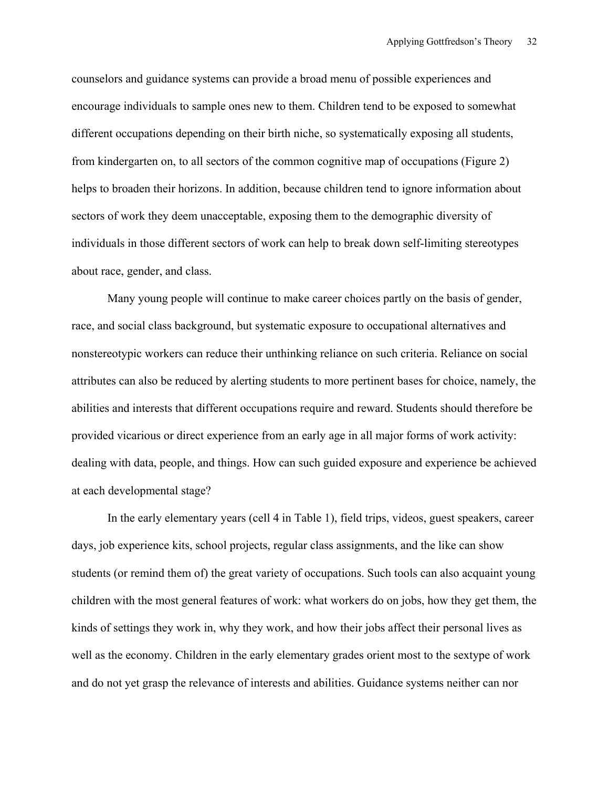counselors and guidance systems can provide a broad menu of possible experiences and encourage individuals to sample ones new to them. Children tend to be exposed to somewhat different occupations depending on their birth niche, so systematically exposing all students, from kindergarten on, to all sectors of the common cognitive map of occupations (Figure 2) helps to broaden their horizons. In addition, because children tend to ignore information about sectors of work they deem unacceptable, exposing them to the demographic diversity of individuals in those different sectors of work can help to break down self-limiting stereotypes about race, gender, and class.

Many young people will continue to make career choices partly on the basis of gender, race, and social class background, but systematic exposure to occupational alternatives and nonstereotypic workers can reduce their unthinking reliance on such criteria. Reliance on social attributes can also be reduced by alerting students to more pertinent bases for choice, namely, the abilities and interests that different occupations require and reward. Students should therefore be provided vicarious or direct experience from an early age in all major forms of work activity: dealing with data, people, and things. How can such guided exposure and experience be achieved at each developmental stage?

In the early elementary years (cell 4 in Table 1), field trips, videos, guest speakers, career days, job experience kits, school projects, regular class assignments, and the like can show students (or remind them of) the great variety of occupations. Such tools can also acquaint young children with the most general features of work: what workers do on jobs, how they get them, the kinds of settings they work in, why they work, and how their jobs affect their personal lives as well as the economy. Children in the early elementary grades orient most to the sextype of work and do not yet grasp the relevance of interests and abilities. Guidance systems neither can nor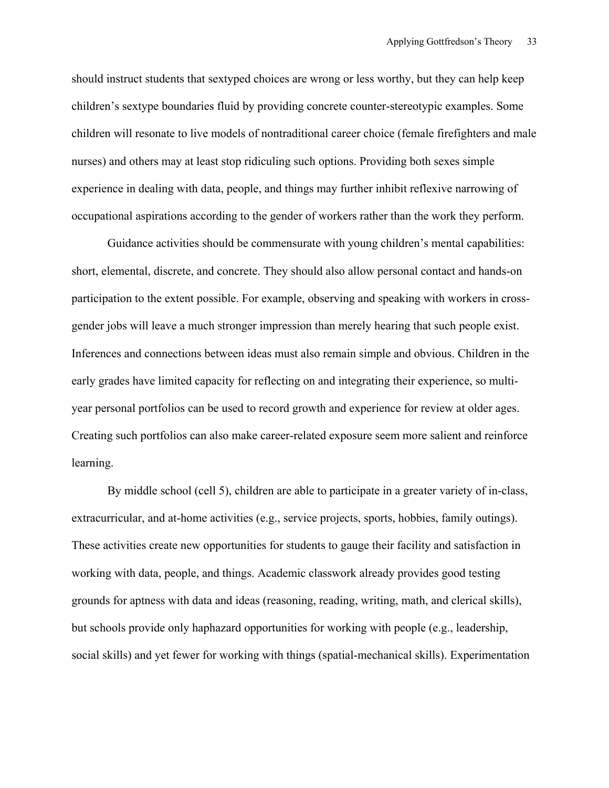should instruct students that sextyped choices are wrong or less worthy, but they can help keep children's sextype boundaries fluid by providing concrete counter-stereotypic examples. Some children will resonate to live models of nontraditional career choice (female firefighters and male nurses) and others may at least stop ridiculing such options. Providing both sexes simple experience in dealing with data, people, and things may further inhibit reflexive narrowing of occupational aspirations according to the gender of workers rather than the work they perform.

Guidance activities should be commensurate with young children's mental capabilities: short, elemental, discrete, and concrete. They should also allow personal contact and hands-on participation to the extent possible. For example, observing and speaking with workers in crossgender jobs will leave a much stronger impression than merely hearing that such people exist. Inferences and connections between ideas must also remain simple and obvious. Children in the early grades have limited capacity for reflecting on and integrating their experience, so multiyear personal portfolios can be used to record growth and experience for review at older ages. Creating such portfolios can also make career-related exposure seem more salient and reinforce learning.

By middle school (cell 5), children are able to participate in a greater variety of in-class, extracurricular, and at-home activities (e.g., service projects, sports, hobbies, family outings). These activities create new opportunities for students to gauge their facility and satisfaction in working with data, people, and things. Academic classwork already provides good testing grounds for aptness with data and ideas (reasoning, reading, writing, math, and clerical skills), but schools provide only haphazard opportunities for working with people (e.g., leadership, social skills) and yet fewer for working with things (spatial-mechanical skills). Experimentation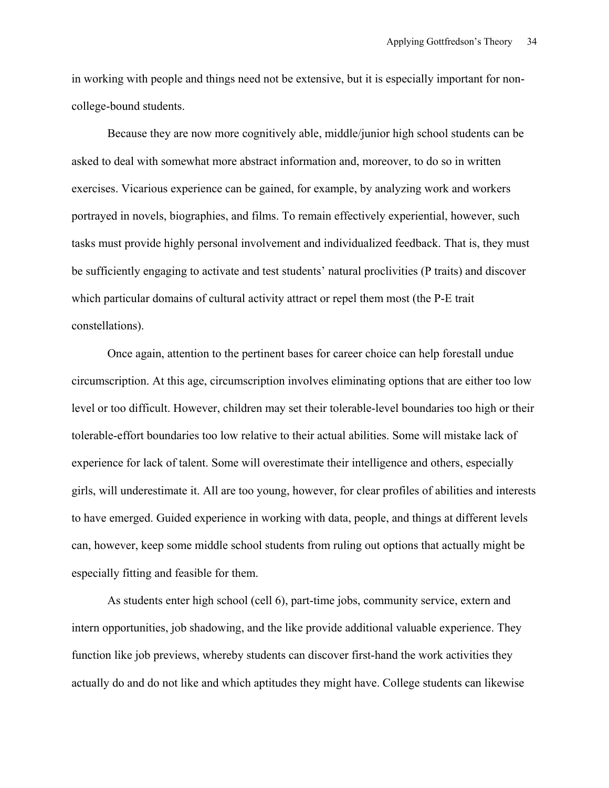in working with people and things need not be extensive, but it is especially important for noncollege-bound students.

Because they are now more cognitively able, middle/junior high school students can be asked to deal with somewhat more abstract information and, moreover, to do so in written exercises. Vicarious experience can be gained, for example, by analyzing work and workers portrayed in novels, biographies, and films. To remain effectively experiential, however, such tasks must provide highly personal involvement and individualized feedback. That is, they must be sufficiently engaging to activate and test students' natural proclivities (P traits) and discover which particular domains of cultural activity attract or repel them most (the P-E trait constellations).

Once again, attention to the pertinent bases for career choice can help forestall undue circumscription. At this age, circumscription involves eliminating options that are either too low level or too difficult. However, children may set their tolerable-level boundaries too high or their tolerable-effort boundaries too low relative to their actual abilities. Some will mistake lack of experience for lack of talent. Some will overestimate their intelligence and others, especially girls, will underestimate it. All are too young, however, for clear profiles of abilities and interests to have emerged. Guided experience in working with data, people, and things at different levels can, however, keep some middle school students from ruling out options that actually might be especially fitting and feasible for them.

As students enter high school (cell 6), part-time jobs, community service, extern and intern opportunities, job shadowing, and the like provide additional valuable experience. They function like job previews, whereby students can discover first-hand the work activities they actually do and do not like and which aptitudes they might have. College students can likewise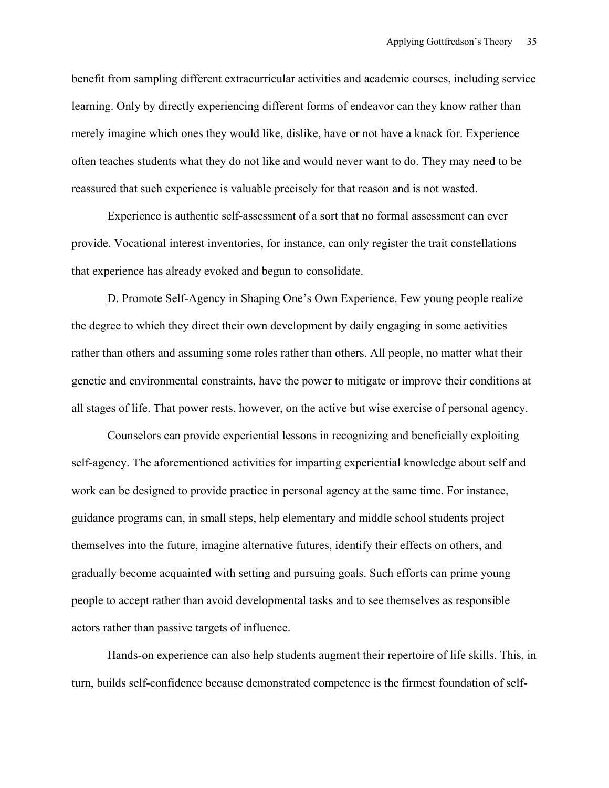benefit from sampling different extracurricular activities and academic courses, including service learning. Only by directly experiencing different forms of endeavor can they know rather than merely imagine which ones they would like, dislike, have or not have a knack for. Experience often teaches students what they do not like and would never want to do. They may need to be reassured that such experience is valuable precisely for that reason and is not wasted.

Experience is authentic self-assessment of a sort that no formal assessment can ever provide. Vocational interest inventories, for instance, can only register the trait constellations that experience has already evoked and begun to consolidate.

D. Promote Self-Agency in Shaping One's Own Experience. Few young people realize the degree to which they direct their own development by daily engaging in some activities rather than others and assuming some roles rather than others. All people, no matter what their genetic and environmental constraints, have the power to mitigate or improve their conditions at all stages of life. That power rests, however, on the active but wise exercise of personal agency.

Counselors can provide experiential lessons in recognizing and beneficially exploiting self-agency. The aforementioned activities for imparting experiential knowledge about self and work can be designed to provide practice in personal agency at the same time. For instance, guidance programs can, in small steps, help elementary and middle school students project themselves into the future, imagine alternative futures, identify their effects on others, and gradually become acquainted with setting and pursuing goals. Such efforts can prime young people to accept rather than avoid developmental tasks and to see themselves as responsible actors rather than passive targets of influence.

Hands-on experience can also help students augment their repertoire of life skills. This, in turn, builds self-confidence because demonstrated competence is the firmest foundation of self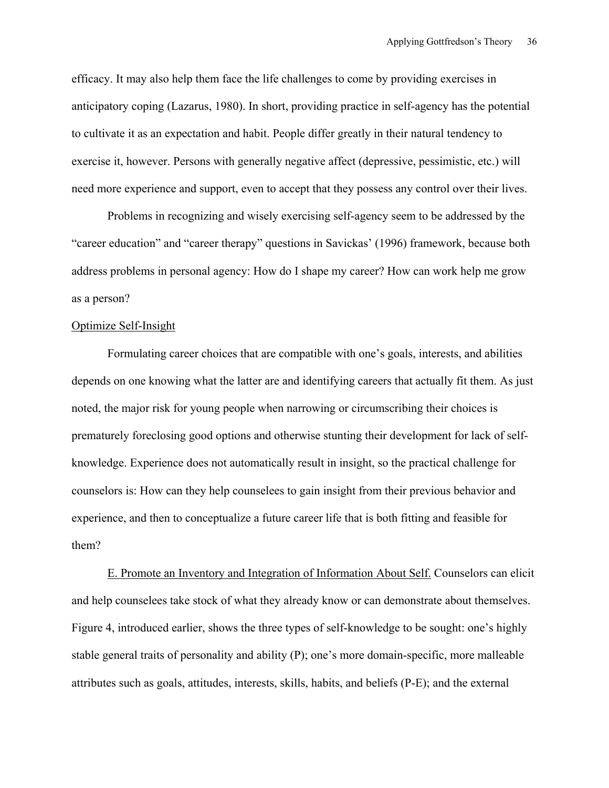efficacy. It may also help them face the life challenges to come by providing exercises in anticipatory coping (Lazarus, 1980). In short, providing practice in self-agency has the potential to cultivate it as an expectation and habit. People differ greatly in their natural tendency to exercise it, however. Persons with generally negative affect (depressive, pessimistic, etc.) will need more experience and support, even to accept that they possess any control over their lives.

 Problems in recognizing and wisely exercising self-agency seem to be addressed by the "career education" and "career therapy" questions in Savickas' (1996) framework, because both address problems in personal agency: How do I shape my career? How can work help me grow as a person?

#### Optimize Self-Insight

Formulating career choices that are compatible with one's goals, interests, and abilities depends on one knowing what the latter are and identifying careers that actually fit them. As just noted, the major risk for young people when narrowing or circumscribing their choices is prematurely foreclosing good options and otherwise stunting their development for lack of selfknowledge. Experience does not automatically result in insight, so the practical challenge for counselors is: How can they help counselees to gain insight from their previous behavior and experience, and then to conceptualize a future career life that is both fitting and feasible for them?

E. Promote an Inventory and Integration of Information About Self. Counselors can elicit and help counselees take stock of what they already know or can demonstrate about themselves. Figure 4, introduced earlier, shows the three types of self-knowledge to be sought: one's highly stable general traits of personality and ability (P); one's more domain-specific, more malleable attributes such as goals, attitudes, interests, skills, habits, and beliefs (P-E); and the external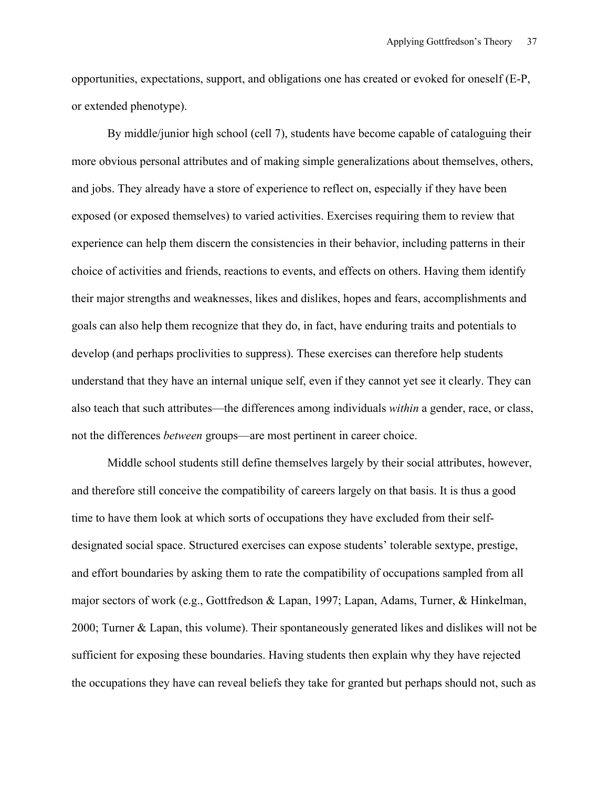opportunities, expectations, support, and obligations one has created or evoked for oneself (E-P, or extended phenotype).

By middle/junior high school (cell 7), students have become capable of cataloguing their more obvious personal attributes and of making simple generalizations about themselves, others, and jobs. They already have a store of experience to reflect on, especially if they have been exposed (or exposed themselves) to varied activities. Exercises requiring them to review that experience can help them discern the consistencies in their behavior, including patterns in their choice of activities and friends, reactions to events, and effects on others. Having them identify their major strengths and weaknesses, likes and dislikes, hopes and fears, accomplishments and goals can also help them recognize that they do, in fact, have enduring traits and potentials to develop (and perhaps proclivities to suppress). These exercises can therefore help students understand that they have an internal unique self, even if they cannot yet see it clearly. They can also teach that such attributes—the differences among individuals *within* a gender, race, or class, not the differences *between* groups—are most pertinent in career choice.

Middle school students still define themselves largely by their social attributes, however, and therefore still conceive the compatibility of careers largely on that basis. It is thus a good time to have them look at which sorts of occupations they have excluded from their selfdesignated social space. Structured exercises can expose students' tolerable sextype, prestige, and effort boundaries by asking them to rate the compatibility of occupations sampled from all major sectors of work (e.g., Gottfredson & Lapan, 1997; Lapan, Adams, Turner, & Hinkelman, 2000; Turner & Lapan, this volume). Their spontaneously generated likes and dislikes will not be sufficient for exposing these boundaries. Having students then explain why they have rejected the occupations they have can reveal beliefs they take for granted but perhaps should not, such as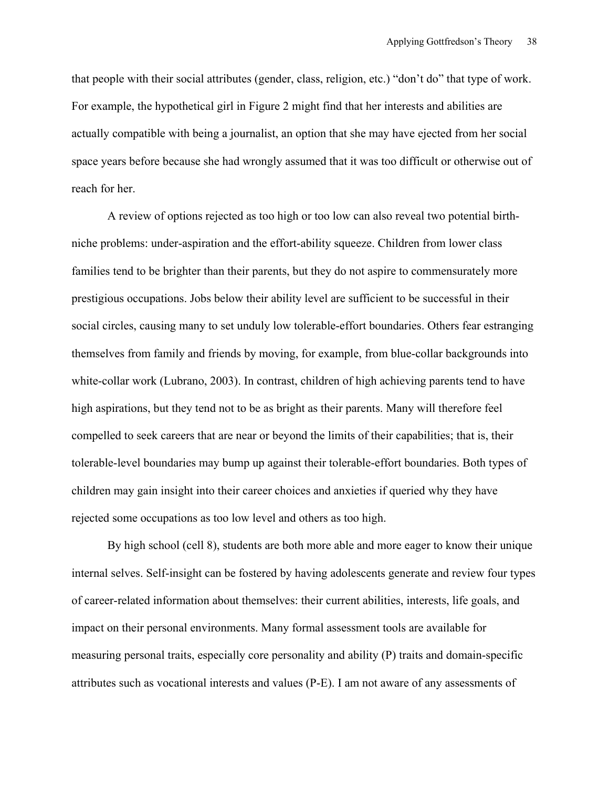that people with their social attributes (gender, class, religion, etc.) "don't do" that type of work. For example, the hypothetical girl in Figure 2 might find that her interests and abilities are actually compatible with being a journalist, an option that she may have ejected from her social space years before because she had wrongly assumed that it was too difficult or otherwise out of reach for her.

A review of options rejected as too high or too low can also reveal two potential birthniche problems: under-aspiration and the effort-ability squeeze. Children from lower class families tend to be brighter than their parents, but they do not aspire to commensurately more prestigious occupations. Jobs below their ability level are sufficient to be successful in their social circles, causing many to set unduly low tolerable-effort boundaries. Others fear estranging themselves from family and friends by moving, for example, from blue-collar backgrounds into white-collar work (Lubrano, 2003). In contrast, children of high achieving parents tend to have high aspirations, but they tend not to be as bright as their parents. Many will therefore feel compelled to seek careers that are near or beyond the limits of their capabilities; that is, their tolerable-level boundaries may bump up against their tolerable-effort boundaries. Both types of children may gain insight into their career choices and anxieties if queried why they have rejected some occupations as too low level and others as too high.

 By high school (cell 8), students are both more able and more eager to know their unique internal selves. Self-insight can be fostered by having adolescents generate and review four types of career-related information about themselves: their current abilities, interests, life goals, and impact on their personal environments. Many formal assessment tools are available for measuring personal traits, especially core personality and ability (P) traits and domain-specific attributes such as vocational interests and values (P-E). I am not aware of any assessments of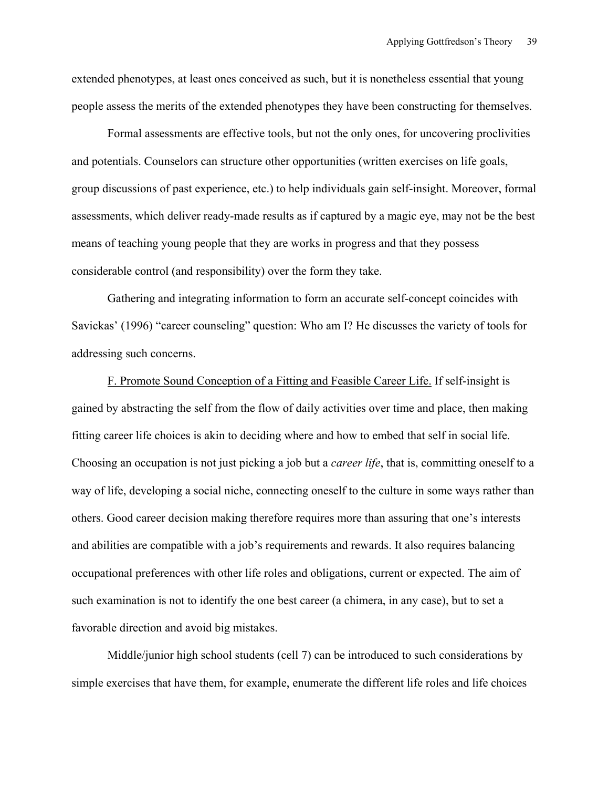extended phenotypes, at least ones conceived as such, but it is nonetheless essential that young people assess the merits of the extended phenotypes they have been constructing for themselves.

Formal assessments are effective tools, but not the only ones, for uncovering proclivities and potentials. Counselors can structure other opportunities (written exercises on life goals, group discussions of past experience, etc.) to help individuals gain self-insight. Moreover, formal assessments, which deliver ready-made results as if captured by a magic eye, may not be the best means of teaching young people that they are works in progress and that they possess considerable control (and responsibility) over the form they take.

Gathering and integrating information to form an accurate self-concept coincides with Savickas' (1996) "career counseling" question: Who am I? He discusses the variety of tools for addressing such concerns.

F. Promote Sound Conception of a Fitting and Feasible Career Life. If self-insight is gained by abstracting the self from the flow of daily activities over time and place, then making fitting career life choices is akin to deciding where and how to embed that self in social life. Choosing an occupation is not just picking a job but a *career life*, that is, committing oneself to a way of life, developing a social niche, connecting oneself to the culture in some ways rather than others. Good career decision making therefore requires more than assuring that one's interests and abilities are compatible with a job's requirements and rewards. It also requires balancing occupational preferences with other life roles and obligations, current or expected. The aim of such examination is not to identify the one best career (a chimera, in any case), but to set a favorable direction and avoid big mistakes.

Middle/junior high school students (cell 7) can be introduced to such considerations by simple exercises that have them, for example, enumerate the different life roles and life choices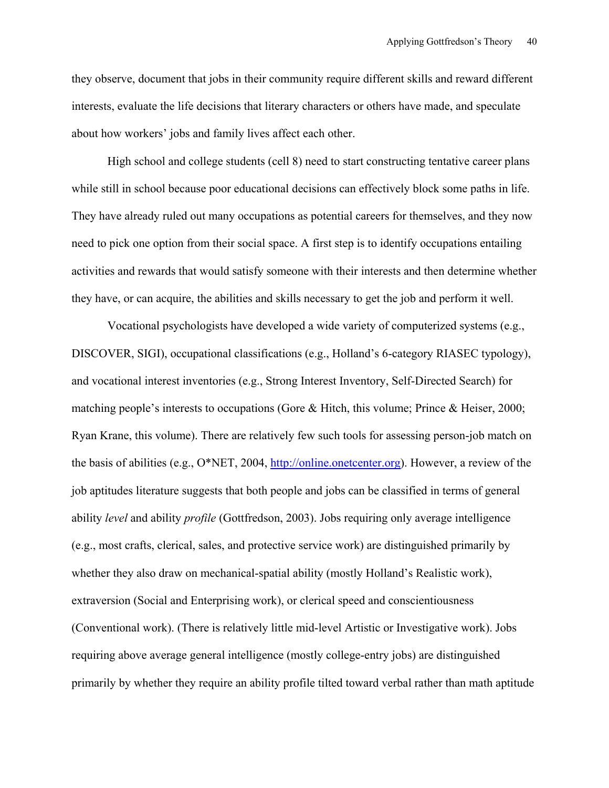they observe, document that jobs in their community require different skills and reward different interests, evaluate the life decisions that literary characters or others have made, and speculate about how workers' jobs and family lives affect each other.

High school and college students (cell 8) need to start constructing tentative career plans while still in school because poor educational decisions can effectively block some paths in life. They have already ruled out many occupations as potential careers for themselves, and they now need to pick one option from their social space. A first step is to identify occupations entailing activities and rewards that would satisfy someone with their interests and then determine whether they have, or can acquire, the abilities and skills necessary to get the job and perform it well.

Vocational psychologists have developed a wide variety of computerized systems (e.g., DISCOVER, SIGI), occupational classifications (e.g., Holland's 6-category RIASEC typology), and vocational interest inventories (e.g., Strong Interest Inventory, Self-Directed Search) for matching people's interests to occupations (Gore & Hitch, this volume; Prince & Heiser, 2000; Ryan Krane, this volume). There are relatively few such tools for assessing person-job match on the basis of abilities (e.g., O\*NET, 2004, http://online.onetcenter.org). However, a review of the job aptitudes literature suggests that both people and jobs can be classified in terms of general ability *level* and ability *profile* (Gottfredson, 2003). Jobs requiring only average intelligence (e.g., most crafts, clerical, sales, and protective service work) are distinguished primarily by whether they also draw on mechanical-spatial ability (mostly Holland's Realistic work), extraversion (Social and Enterprising work), or clerical speed and conscientiousness (Conventional work). (There is relatively little mid-level Artistic or Investigative work). Jobs requiring above average general intelligence (mostly college-entry jobs) are distinguished primarily by whether they require an ability profile tilted toward verbal rather than math aptitude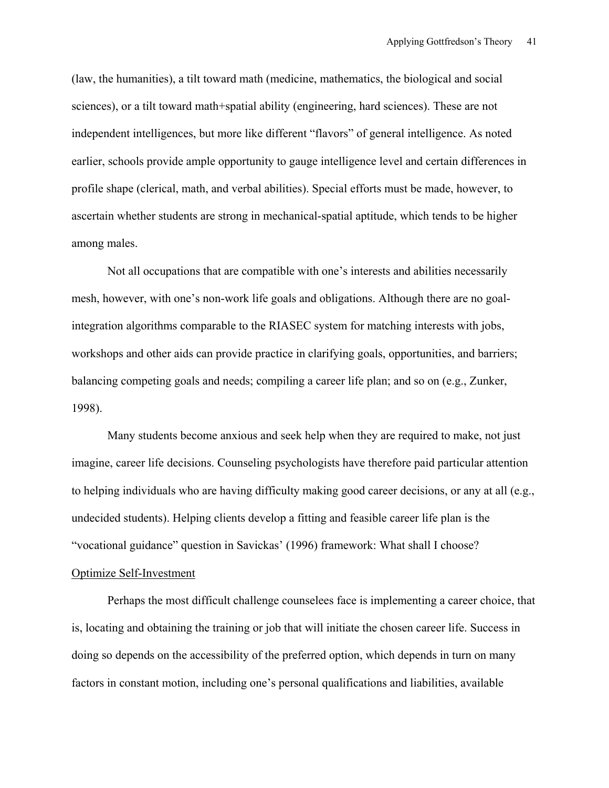(law, the humanities), a tilt toward math (medicine, mathematics, the biological and social sciences), or a tilt toward math+spatial ability (engineering, hard sciences). These are not independent intelligences, but more like different "flavors" of general intelligence. As noted earlier, schools provide ample opportunity to gauge intelligence level and certain differences in profile shape (clerical, math, and verbal abilities). Special efforts must be made, however, to ascertain whether students are strong in mechanical-spatial aptitude, which tends to be higher among males.

Not all occupations that are compatible with one's interests and abilities necessarily mesh, however, with one's non-work life goals and obligations. Although there are no goalintegration algorithms comparable to the RIASEC system for matching interests with jobs, workshops and other aids can provide practice in clarifying goals, opportunities, and barriers; balancing competing goals and needs; compiling a career life plan; and so on (e.g., Zunker, 1998).

Many students become anxious and seek help when they are required to make, not just imagine, career life decisions. Counseling psychologists have therefore paid particular attention to helping individuals who are having difficulty making good career decisions, or any at all (e.g., undecided students). Helping clients develop a fitting and feasible career life plan is the "vocational guidance" question in Savickas' (1996) framework: What shall I choose? Optimize Self-Investment

 Perhaps the most difficult challenge counselees face is implementing a career choice, that is, locating and obtaining the training or job that will initiate the chosen career life. Success in doing so depends on the accessibility of the preferred option, which depends in turn on many factors in constant motion, including one's personal qualifications and liabilities, available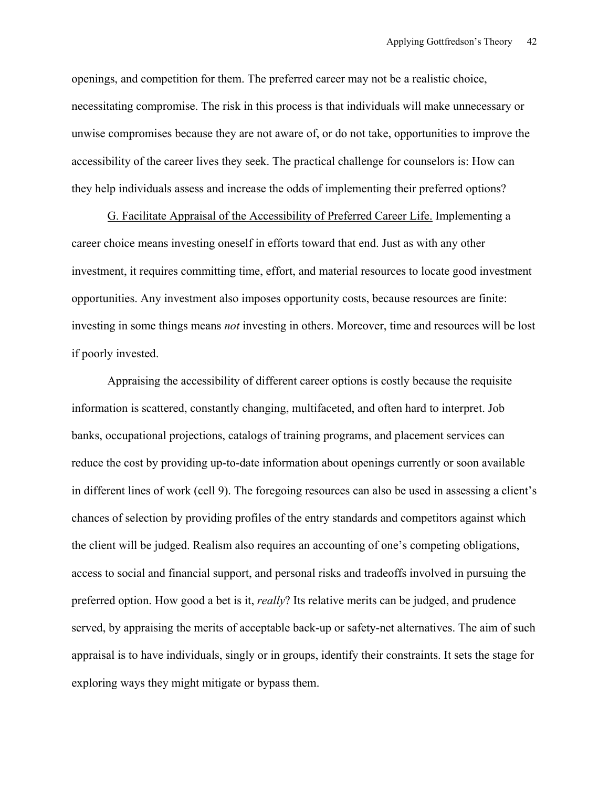openings, and competition for them. The preferred career may not be a realistic choice, necessitating compromise. The risk in this process is that individuals will make unnecessary or unwise compromises because they are not aware of, or do not take, opportunities to improve the accessibility of the career lives they seek. The practical challenge for counselors is: How can they help individuals assess and increase the odds of implementing their preferred options?

G. Facilitate Appraisal of the Accessibility of Preferred Career Life. Implementing a career choice means investing oneself in efforts toward that end. Just as with any other investment, it requires committing time, effort, and material resources to locate good investment opportunities. Any investment also imposes opportunity costs, because resources are finite: investing in some things means *not* investing in others. Moreover, time and resources will be lost if poorly invested.

Appraising the accessibility of different career options is costly because the requisite information is scattered, constantly changing, multifaceted, and often hard to interpret. Job banks, occupational projections, catalogs of training programs, and placement services can reduce the cost by providing up-to-date information about openings currently or soon available in different lines of work (cell 9). The foregoing resources can also be used in assessing a client's chances of selection by providing profiles of the entry standards and competitors against which the client will be judged. Realism also requires an accounting of one's competing obligations, access to social and financial support, and personal risks and tradeoffs involved in pursuing the preferred option. How good a bet is it, *really*? Its relative merits can be judged, and prudence served, by appraising the merits of acceptable back-up or safety-net alternatives. The aim of such appraisal is to have individuals, singly or in groups, identify their constraints. It sets the stage for exploring ways they might mitigate or bypass them.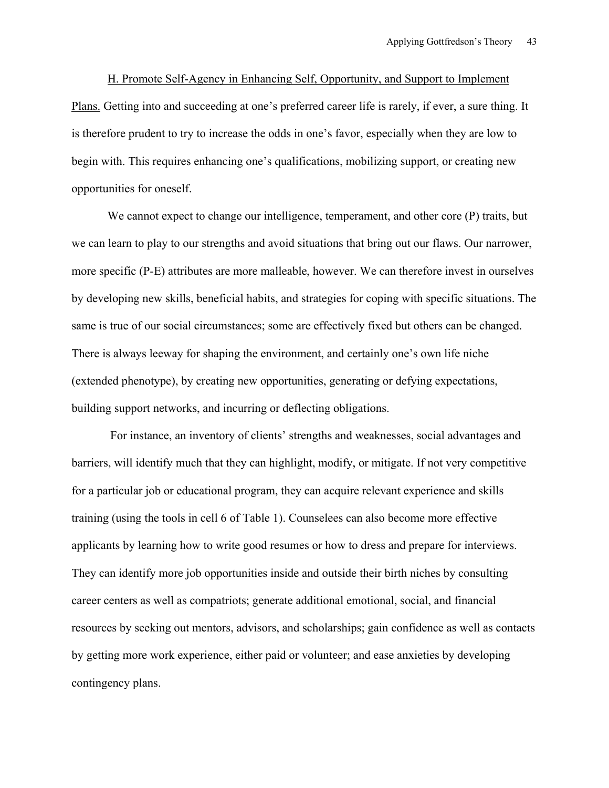H. Promote Self-Agency in Enhancing Self, Opportunity, and Support to Implement Plans. Getting into and succeeding at one's preferred career life is rarely, if ever, a sure thing. It is therefore prudent to try to increase the odds in one's favor, especially when they are low to begin with. This requires enhancing one's qualifications, mobilizing support, or creating new opportunities for oneself.

We cannot expect to change our intelligence, temperament, and other core (P) traits, but we can learn to play to our strengths and avoid situations that bring out our flaws. Our narrower, more specific (P-E) attributes are more malleable, however. We can therefore invest in ourselves by developing new skills, beneficial habits, and strategies for coping with specific situations. The same is true of our social circumstances; some are effectively fixed but others can be changed. There is always leeway for shaping the environment, and certainly one's own life niche (extended phenotype), by creating new opportunities, generating or defying expectations, building support networks, and incurring or deflecting obligations.

 For instance, an inventory of clients' strengths and weaknesses, social advantages and barriers, will identify much that they can highlight, modify, or mitigate. If not very competitive for a particular job or educational program, they can acquire relevant experience and skills training (using the tools in cell 6 of Table 1). Counselees can also become more effective applicants by learning how to write good resumes or how to dress and prepare for interviews. They can identify more job opportunities inside and outside their birth niches by consulting career centers as well as compatriots; generate additional emotional, social, and financial resources by seeking out mentors, advisors, and scholarships; gain confidence as well as contacts by getting more work experience, either paid or volunteer; and ease anxieties by developing contingency plans.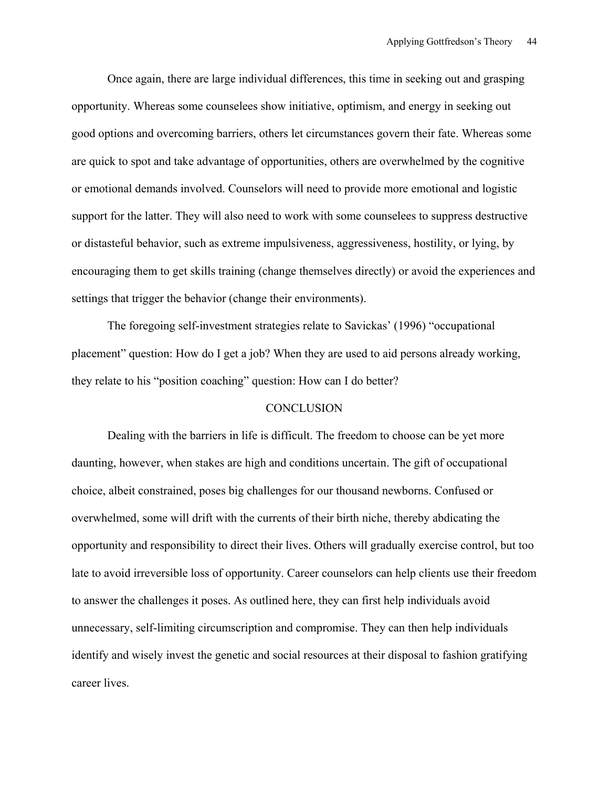Once again, there are large individual differences, this time in seeking out and grasping opportunity. Whereas some counselees show initiative, optimism, and energy in seeking out good options and overcoming barriers, others let circumstances govern their fate. Whereas some are quick to spot and take advantage of opportunities, others are overwhelmed by the cognitive or emotional demands involved. Counselors will need to provide more emotional and logistic support for the latter. They will also need to work with some counselees to suppress destructive or distasteful behavior, such as extreme impulsiveness, aggressiveness, hostility, or lying, by encouraging them to get skills training (change themselves directly) or avoid the experiences and settings that trigger the behavior (change their environments).

 The foregoing self-investment strategies relate to Savickas' (1996) "occupational placement" question: How do I get a job? When they are used to aid persons already working, they relate to his "position coaching" question: How can I do better?

#### **CONCLUSION**

 Dealing with the barriers in life is difficult. The freedom to choose can be yet more daunting, however, when stakes are high and conditions uncertain. The gift of occupational choice, albeit constrained, poses big challenges for our thousand newborns. Confused or overwhelmed, some will drift with the currents of their birth niche, thereby abdicating the opportunity and responsibility to direct their lives. Others will gradually exercise control, but too late to avoid irreversible loss of opportunity. Career counselors can help clients use their freedom to answer the challenges it poses. As outlined here, they can first help individuals avoid unnecessary, self-limiting circumscription and compromise. They can then help individuals identify and wisely invest the genetic and social resources at their disposal to fashion gratifying career lives.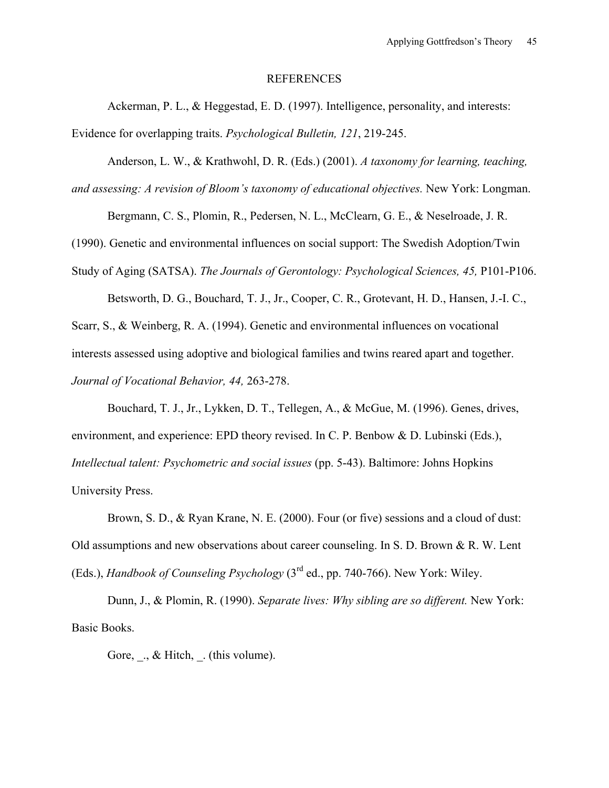#### REFERENCES

Ackerman, P. L., & Heggestad, E. D. (1997). Intelligence, personality, and interests: Evidence for overlapping traits. *Psychological Bulletin, 121*, 219-245.

Anderson, L. W., & Krathwohl, D. R. (Eds.) (2001). *A taxonomy for learning, teaching,* 

*and assessing: A revision of Bloom's taxonomy of educational objectives.* New York: Longman.

Bergmann, C. S., Plomin, R., Pedersen, N. L., McClearn, G. E., & Neselroade, J. R.

(1990). Genetic and environmental influences on social support: The Swedish Adoption/Twin

Study of Aging (SATSA). *The Journals of Gerontology: Psychological Sciences, 45,* P101-P106.

Betsworth, D. G., Bouchard, T. J., Jr., Cooper, C. R., Grotevant, H. D., Hansen, J.-I. C.,

Scarr, S., & Weinberg, R. A. (1994). Genetic and environmental influences on vocational

interests assessed using adoptive and biological families and twins reared apart and together.

*Journal of Vocational Behavior, 44,* 263-278.

Bouchard, T. J., Jr., Lykken, D. T., Tellegen, A., & McGue, M. (1996). Genes, drives, environment, and experience: EPD theory revised. In C. P. Benbow & D. Lubinski (Eds.), *Intellectual talent: Psychometric and social issues* (pp. 5-43). Baltimore: Johns Hopkins University Press.

Brown, S. D., & Ryan Krane, N. E. (2000). Four (or five) sessions and a cloud of dust: Old assumptions and new observations about career counseling. In S. D. Brown & R. W. Lent (Eds.), *Handbook of Counseling Psychology* (3rd ed., pp. 740-766). New York: Wiley.

Dunn, J., & Plomin, R. (1990). *Separate lives: Why sibling are so different.* New York: Basic Books.

Gore, ., & Hitch, . (this volume).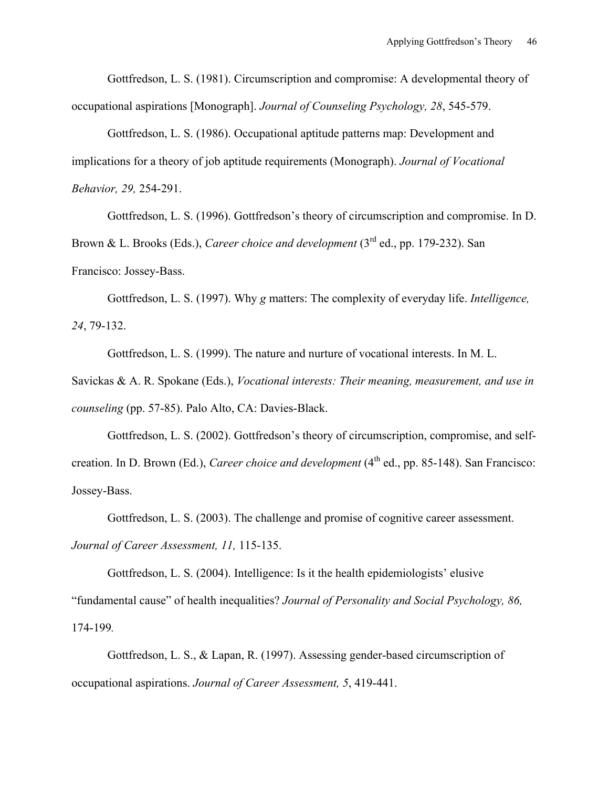Gottfredson, L. S. (1981). Circumscription and compromise: A developmental theory of occupational aspirations [Monograph]. *Journal of Counseling Psychology, 28*, 545-579.

Gottfredson, L. S. (1986). Occupational aptitude patterns map: Development and implications for a theory of job aptitude requirements (Monograph). *Journal of Vocational Behavior, 29,* 254-291.

Gottfredson, L. S. (1996). Gottfredson's theory of circumscription and compromise. In D. Brown & L. Brooks (Eds.), *Career choice and development* (3rd ed., pp. 179-232). San Francisco: Jossey-Bass.

Gottfredson, L. S. (1997). Why *g* matters: The complexity of everyday life. *Intelligence, 24*, 79-132.

Gottfredson, L. S. (1999). The nature and nurture of vocational interests. In M. L.

Savickas & A. R. Spokane (Eds.), *Vocational interests: Their meaning, measurement, and use in counseling* (pp. 57-85). Palo Alto, CA: Davies-Black.

Gottfredson, L. S. (2002). Gottfredson's theory of circumscription, compromise, and selfcreation. In D. Brown (Ed.), *Career choice and development* (4<sup>th</sup> ed., pp. 85-148). San Francisco: Jossey-Bass.

Gottfredson, L. S. (2003). The challenge and promise of cognitive career assessment. *Journal of Career Assessment, 11,* 115-135.

Gottfredson, L. S. (2004). Intelligence: Is it the health epidemiologists' elusive "fundamental cause" of health inequalities? *Journal of Personality and Social Psychology, 86,* 174-199*.*

Gottfredson, L. S., & Lapan, R. (1997). Assessing gender-based circumscription of occupational aspirations. *Journal of Career Assessment, 5*, 419-441.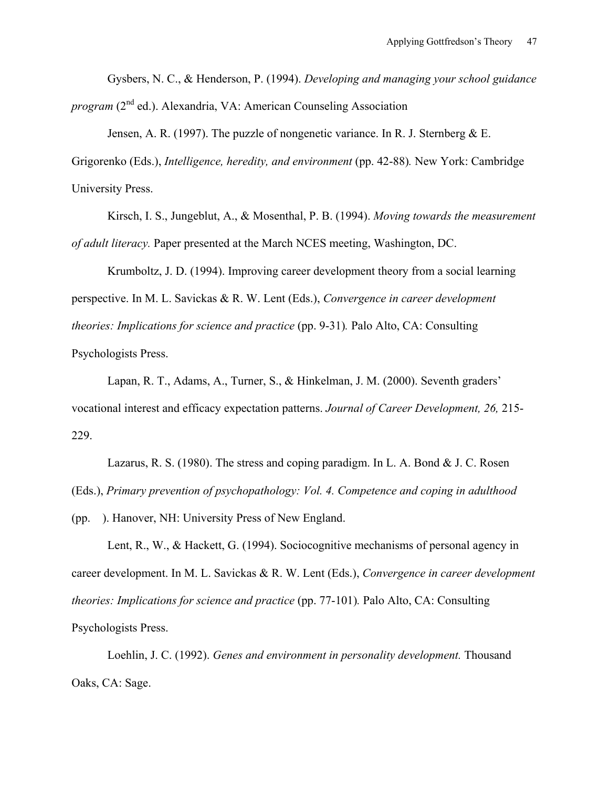Gysbers, N. C., & Henderson, P. (1994). *Developing and managing your school guidance program* (2<sup>nd</sup> ed.). Alexandria, VA: American Counseling Association

Jensen, A. R. (1997). The puzzle of nongenetic variance. In R. J. Sternberg  $\& E$ .

Grigorenko (Eds.), *Intelligence, heredity, and environment* (pp. 42-88)*.* New York: Cambridge University Press.

Kirsch, I. S., Jungeblut, A., & Mosenthal, P. B. (1994). *Moving towards the measurement of adult literacy.* Paper presented at the March NCES meeting, Washington, DC.

Krumboltz, J. D. (1994). Improving career development theory from a social learning perspective. In M. L. Savickas & R. W. Lent (Eds.), *Convergence in career development theories: Implications for science and practice* (pp. 9-31). Palo Alto, CA: Consulting Psychologists Press.

Lapan, R. T., Adams, A., Turner, S., & Hinkelman, J. M. (2000). Seventh graders' vocational interest and efficacy expectation patterns. *Journal of Career Development, 26,* 215- 229.

Lazarus, R. S. (1980). The stress and coping paradigm. In L. A. Bond & J. C. Rosen (Eds.), *Primary prevention of psychopathology: Vol. 4. Competence and coping in adulthood*  (pp. ). Hanover, NH: University Press of New England.

Lent, R., W., & Hackett, G. (1994). Sociocognitive mechanisms of personal agency in career development. In M. L. Savickas & R. W. Lent (Eds.), *Convergence in career development theories: Implications for science and practice* (pp. 77-101)*.* Palo Alto, CA: Consulting Psychologists Press.

Loehlin, J. C. (1992). *Genes and environment in personality development.* Thousand Oaks, CA: Sage.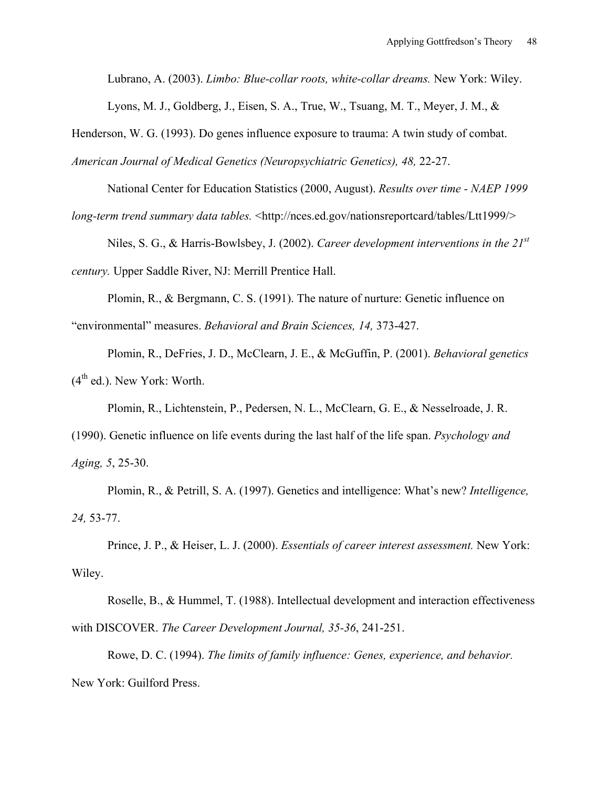Lubrano, A. (2003). *Limbo: Blue-collar roots, white-collar dreams.* New York: Wiley.

Lyons, M. J., Goldberg, J., Eisen, S. A., True, W., Tsuang, M. T., Meyer, J. M., &

Henderson, W. G. (1993). Do genes influence exposure to trauma: A twin study of combat.

*American Journal of Medical Genetics (Neuropsychiatric Genetics), 48,* 22-27.

National Center for Education Statistics (2000, August). *Results over time - NAEP 1999* 

*long-term trend summary data tables.* <http://nces.ed.gov/nationsreportcard/tables/Ltt1999/>

Niles, S. G., & Harris-Bowlsbey, J. (2002). *Career development interventions in the 21st century.* Upper Saddle River, NJ: Merrill Prentice Hall.

Plomin, R., & Bergmann, C. S. (1991). The nature of nurture: Genetic influence on "environmental" measures. *Behavioral and Brain Sciences, 14,* 373-427.

 Plomin, R., DeFries, J. D., McClearn, J. E., & McGuffin, P. (2001). *Behavioral genetics*   $(4<sup>th</sup>$  ed.). New York: Worth.

Plomin, R., Lichtenstein, P., Pedersen, N. L., McClearn, G. E., & Nesselroade, J. R.

(1990). Genetic influence on life events during the last half of the life span. *Psychology and Aging, 5*, 25-30.

 Plomin, R., & Petrill, S. A. (1997). Genetics and intelligence: What's new? *Intelligence, 24,* 53-77.

Prince, J. P., & Heiser, L. J. (2000). *Essentials of career interest assessment.* New York: Wiley.

Roselle, B., & Hummel, T. (1988). Intellectual development and interaction effectiveness with DISCOVER. *The Career Development Journal, 35-36*, 241-251.

Rowe, D. C. (1994). *The limits of family influence: Genes, experience, and behavior.*  New York: Guilford Press.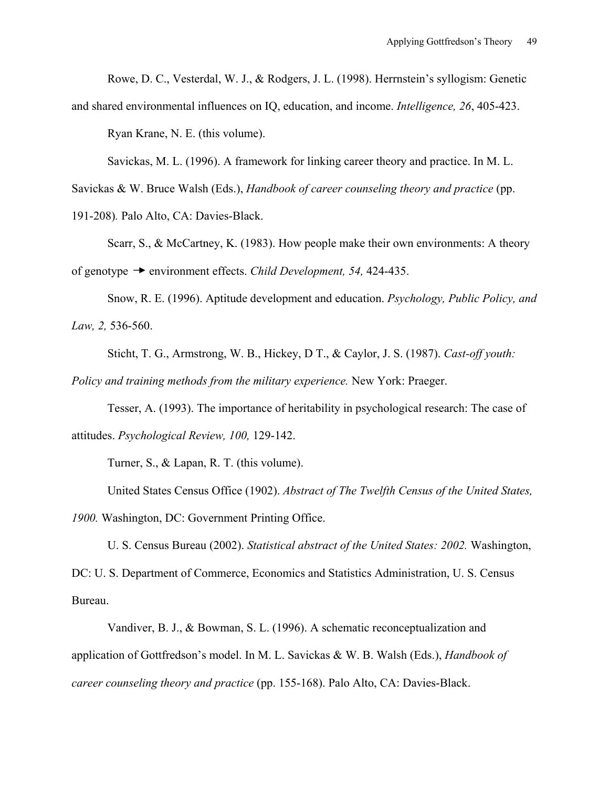Rowe, D. C., Vesterdal, W. J., & Rodgers, J. L. (1998). Herrnstein's syllogism: Genetic

and shared environmental influences on IQ, education, and income. *Intelligence, 26*, 405-423.

Ryan Krane, N. E. (this volume).

Savickas, M. L. (1996). A framework for linking career theory and practice. In M. L.

Savickas & W. Bruce Walsh (Eds.), *Handbook of career counseling theory and practice* (pp.

191-208)*.* Palo Alto, CA: Davies-Black.

Scarr, S., & McCartney, K. (1983). How people make their own environments: A theory of genotype environment effects. *Child Development, 54,* 424-435.

Snow, R. E. (1996). Aptitude development and education. *Psychology, Public Policy, and Law, 2,* 536-560.

Sticht, T. G., Armstrong, W. B., Hickey, D T., & Caylor, J. S. (1987). *Cast-off youth:* 

*Policy and training methods from the military experience.* New York: Praeger.

Tesser, A. (1993). The importance of heritability in psychological research: The case of attitudes. *Psychological Review, 100,* 129-142.

Turner, S., & Lapan, R. T. (this volume).

United States Census Office (1902). *Abstract of The Twelfth Census of the United States,* 

*1900.* Washington, DC: Government Printing Office.

U. S. Census Bureau (2002). *Statistical abstract of the United States: 2002.* Washington,

DC: U. S. Department of Commerce, Economics and Statistics Administration, U. S. Census Bureau.

Vandiver, B. J., & Bowman, S. L. (1996). A schematic reconceptualization and application of Gottfredson's model. In M. L. Savickas & W. B. Walsh (Eds.), *Handbook of career counseling theory and practice* (pp. 155-168). Palo Alto, CA: Davies-Black.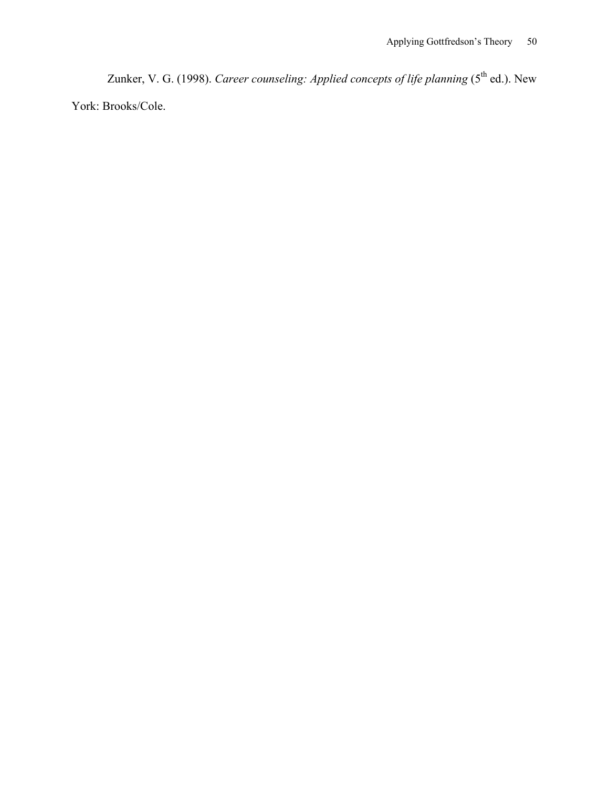Zunker, V. G. (1998). *Career counseling: Applied concepts of life planning* (5<sup>th</sup> ed.). New York: Brooks/Cole.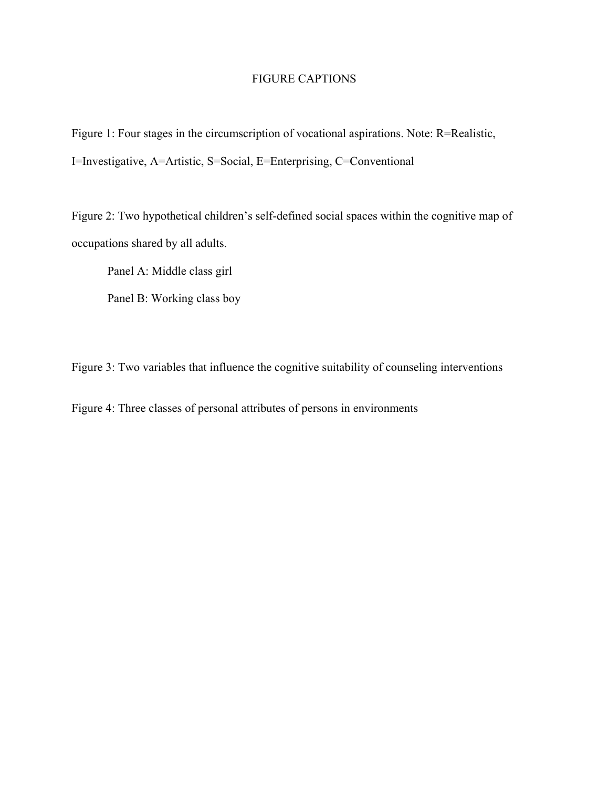#### FIGURE CAPTIONS

Figure 1: Four stages in the circumscription of vocational aspirations. Note: R=Realistic, I=Investigative, A=Artistic, S=Social, E=Enterprising, C=Conventional

Figure 2: Two hypothetical children's self-defined social spaces within the cognitive map of occupations shared by all adults.

Panel A: Middle class girl Panel B: Working class boy

Figure 3: Two variables that influence the cognitive suitability of counseling interventions

Figure 4: Three classes of personal attributes of persons in environments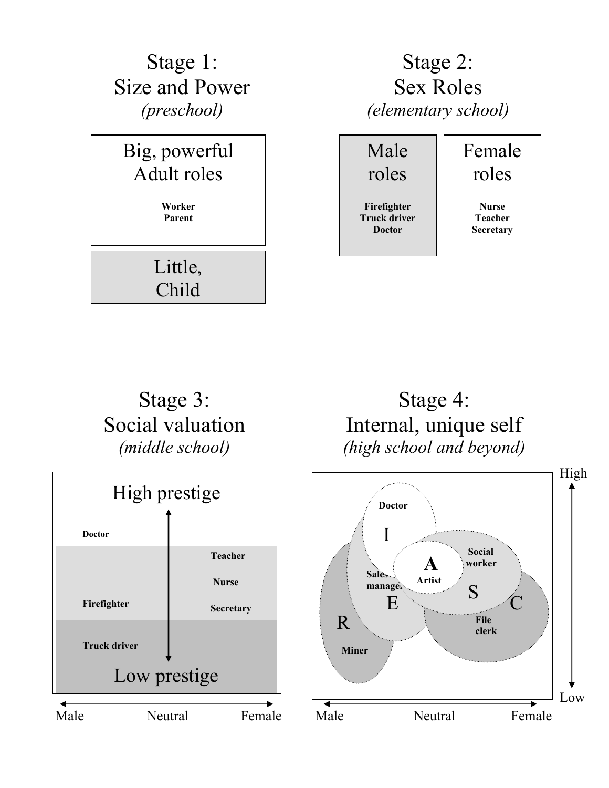Stage 1: Size and Power *(preschool)* 

# Big, powerful Adult roles

**Worker Parent** 

Little, Child

## Stage 2: Sex Roles *(elementary school)*

### Male roles

**Firefighter Truck driver Doctor** 

Female roles

> **Nurse Teacher Secretary**

Stage 3: Social valuation *(middle school)* 



Stage 4: Internal, unique self *(high school and beyond)*

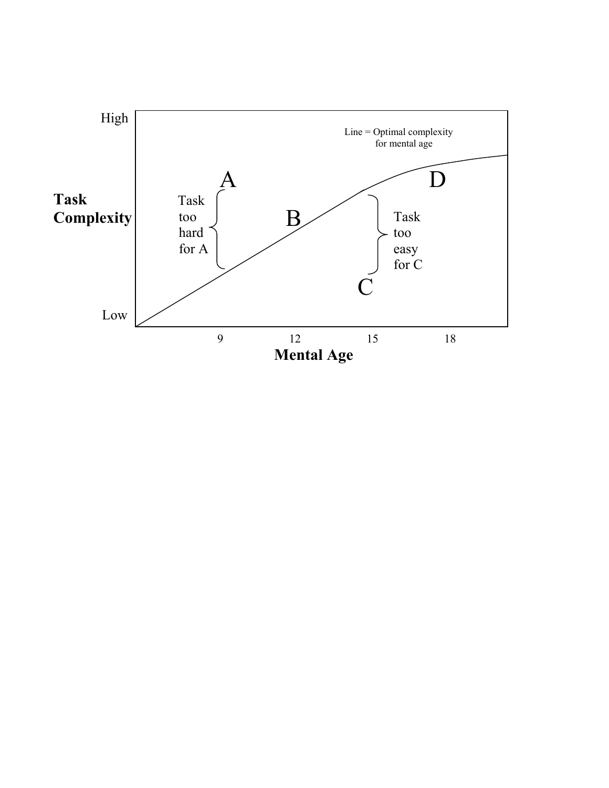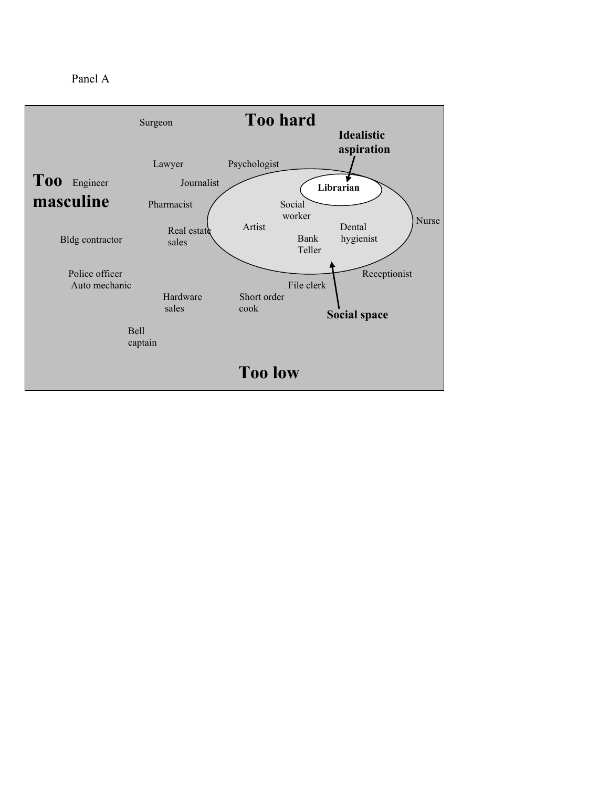Panel A

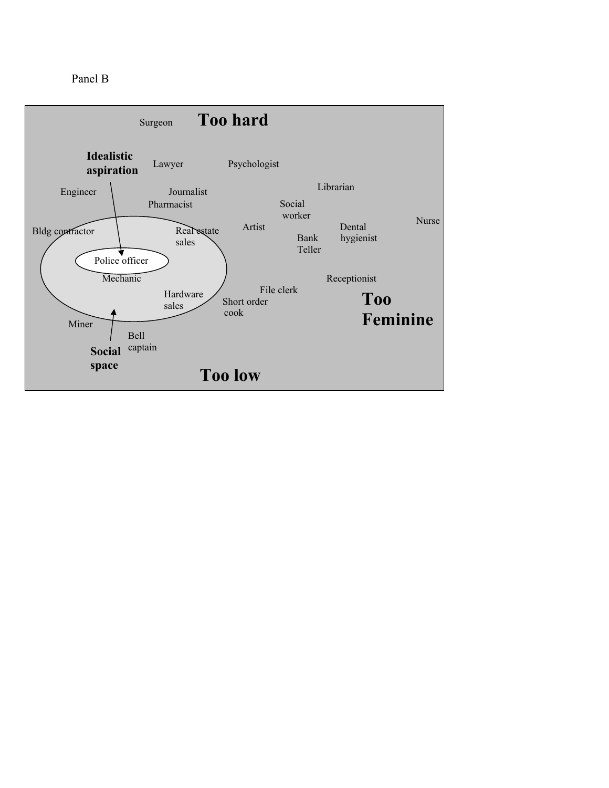Panel B

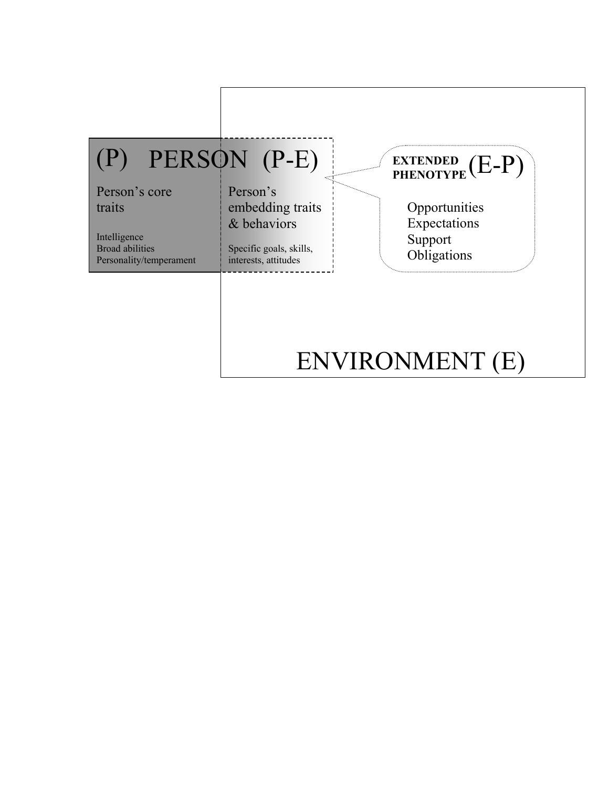